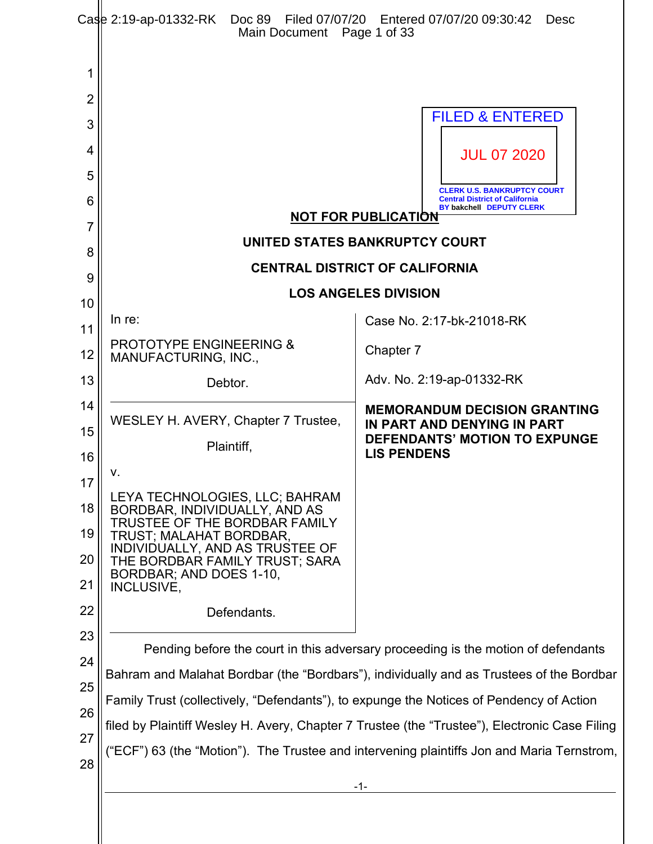|                | Case 2:19-ap-01332-RK Doc 89 Filed 07/07/20 Entered 07/07/20 09:30:42<br>Main Document Page 1 of 33                                                                                         | Desc                                                                                                    |  |  |
|----------------|---------------------------------------------------------------------------------------------------------------------------------------------------------------------------------------------|---------------------------------------------------------------------------------------------------------|--|--|
| 1              |                                                                                                                                                                                             |                                                                                                         |  |  |
| $\overline{2}$ |                                                                                                                                                                                             |                                                                                                         |  |  |
| 3              |                                                                                                                                                                                             | <b>FILED &amp; ENTERED</b>                                                                              |  |  |
| 4              |                                                                                                                                                                                             | <b>JUL 07 2020</b>                                                                                      |  |  |
| 5              |                                                                                                                                                                                             |                                                                                                         |  |  |
| 6              |                                                                                                                                                                                             | <b>CLERK U.S. BANKRUPTCY COURT</b><br><b>Central District of California</b><br>BY bakchell DEPUTY CLERK |  |  |
| 7              | <b>NOT FOR PUBLICATION</b>                                                                                                                                                                  |                                                                                                         |  |  |
| 8              | UNITED STATES BANKRUPTCY COURT                                                                                                                                                              |                                                                                                         |  |  |
| 9              | <b>CENTRAL DISTRICT OF CALIFORNIA</b>                                                                                                                                                       |                                                                                                         |  |  |
| 10             |                                                                                                                                                                                             | <b>LOS ANGELES DIVISION</b>                                                                             |  |  |
| 11             | In re:                                                                                                                                                                                      | Case No. 2:17-bk-21018-RK                                                                               |  |  |
| 12             | <b>PROTOTYPE ENGINEERING &amp;</b><br>MANUFACTURING, INC.,                                                                                                                                  | Chapter 7                                                                                               |  |  |
| 13             | Debtor.                                                                                                                                                                                     | Adv. No. 2:19-ap-01332-RK                                                                               |  |  |
| 14             | WESLEY H. AVERY, Chapter 7 Trustee,                                                                                                                                                         | <b>MEMORANDUM DECISION GRANTING</b>                                                                     |  |  |
| 15             | Plaintiff,                                                                                                                                                                                  | IN PART AND DENYING IN PART<br><b>DEFENDANTS' MOTION TO EXPUNGE</b>                                     |  |  |
| 16             |                                                                                                                                                                                             | <b>LIS PENDENS</b>                                                                                      |  |  |
| 17             | ν.<br>LEYA TECHNOLOGIES, LLC; BAHRAM                                                                                                                                                        |                                                                                                         |  |  |
| 18             | BORDBAR, INDIVIDUALLY, AND AS<br>TRUSTEE OF THE BORDBAR FAMILY                                                                                                                              |                                                                                                         |  |  |
| 19             | TRUST; MALAHAT BORDBAR,<br>INDIVIDUALLY, AND AS TRUSTEE OF                                                                                                                                  |                                                                                                         |  |  |
| 20             | THE BORDBAR FAMILY TRUST; SARA<br>BORDBAR; AND DOES 1-10,                                                                                                                                   |                                                                                                         |  |  |
| 21             | INCLUSIVE,                                                                                                                                                                                  |                                                                                                         |  |  |
| 22             | Defendants.                                                                                                                                                                                 |                                                                                                         |  |  |
| 23             |                                                                                                                                                                                             |                                                                                                         |  |  |
| 24             | Pending before the court in this adversary proceeding is the motion of defendants                                                                                                           |                                                                                                         |  |  |
| 25             | Bahram and Malahat Bordbar (the "Bordbars"), individually and as Trustees of the Bordbar                                                                                                    |                                                                                                         |  |  |
| 26             | Family Trust (collectively, "Defendants"), to expunge the Notices of Pendency of Action                                                                                                     |                                                                                                         |  |  |
| 27             | filed by Plaintiff Wesley H. Avery, Chapter 7 Trustee (the "Trustee"), Electronic Case Filing<br>("ECF") 63 (the "Motion"). The Trustee and intervening plaintiffs Jon and Maria Ternstrom, |                                                                                                         |  |  |
| 28             |                                                                                                                                                                                             |                                                                                                         |  |  |
|                | -1-                                                                                                                                                                                         |                                                                                                         |  |  |
|                |                                                                                                                                                                                             |                                                                                                         |  |  |

 $\parallel$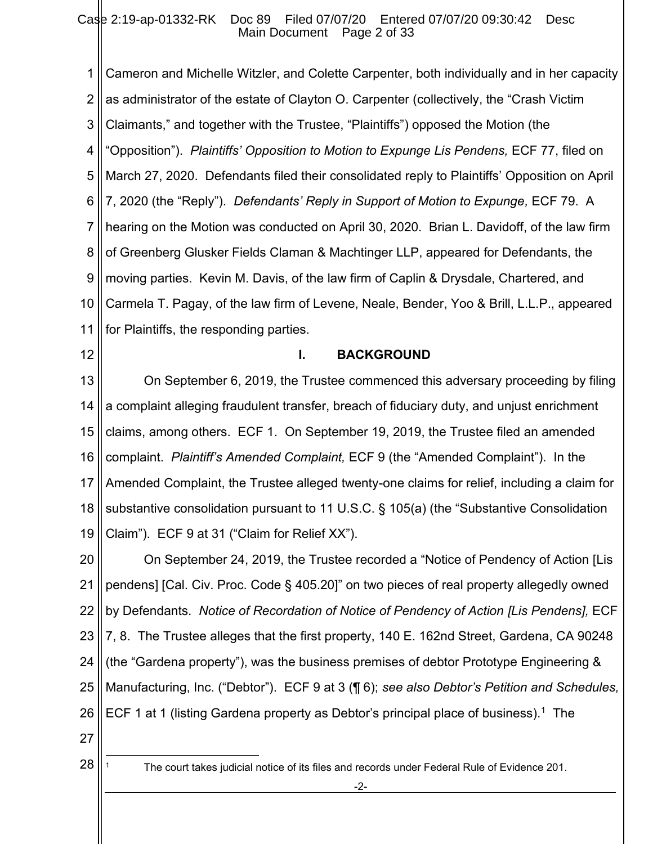1 2 3 4 5 6 7 8 9 10 11 Cameron and Michelle Witzler, and Colette Carpenter, both individually and in her capacity as administrator of the estate of Clayton O. Carpenter (collectively, the "Crash Victim Claimants," and together with the Trustee, "Plaintiffs") opposed the Motion (the "Opposition"). *Plaintiffs' Opposition to Motion to Expunge Lis Pendens,* ECF 77, filed on March 27, 2020. Defendants filed their consolidated reply to Plaintiffs' Opposition on April 7, 2020 (the "Reply"). *Defendants' Reply in Support of Motion to Expunge,* ECF 79. A hearing on the Motion was conducted on April 30, 2020. Brian L. Davidoff, of the law firm of Greenberg Glusker Fields Claman & Machtinger LLP, appeared for Defendants, the moving parties. Kevin M. Davis, of the law firm of Caplin & Drysdale, Chartered, and Carmela T. Pagay, of the law firm of Levene, Neale, Bender, Yoo & Brill, L.L.P., appeared for Plaintiffs, the responding parties.

12

#### **I. BACKGROUND**

13 14 15 16 17 18 19 On September 6, 2019, the Trustee commenced this adversary proceeding by filing a complaint alleging fraudulent transfer, breach of fiduciary duty, and unjust enrichment claims, among others. ECF 1. On September 19, 2019, the Trustee filed an amended complaint. *Plaintiff's Amended Complaint,* ECF 9 (the "Amended Complaint"). In the Amended Complaint, the Trustee alleged twenty-one claims for relief, including a claim for substantive consolidation pursuant to 11 U.S.C. § 105(a) (the "Substantive Consolidation Claim"). ECF 9 at 31 ("Claim for Relief XX").

20 21 22 23 24 25 26 On September 24, 2019, the Trustee recorded a "Notice of Pendency of Action [Lis pendens] [Cal. Civ. Proc. Code § 405.20]" on two pieces of real property allegedly owned by Defendants. *Notice of Recordation of Notice of Pendency of Action [Lis Pendens],* ECF 7, 8. The Trustee alleges that the first property, 140 E. 162nd Street, Gardena, CA 90248 (the "Gardena property"), was the business premises of debtor Prototype Engineering & Manufacturing, Inc. ("Debtor"). ECF 9 at 3 (¶ 6); *see also Debtor's Petition and Schedules,*  ECF 1 at 1 (listing Gardena property as Debtor's principal place of business).<sup>1</sup> The

- 27
- 28

<sup>1</sup> The court takes judicial notice of its files and records under Federal Rule of Evidence 201.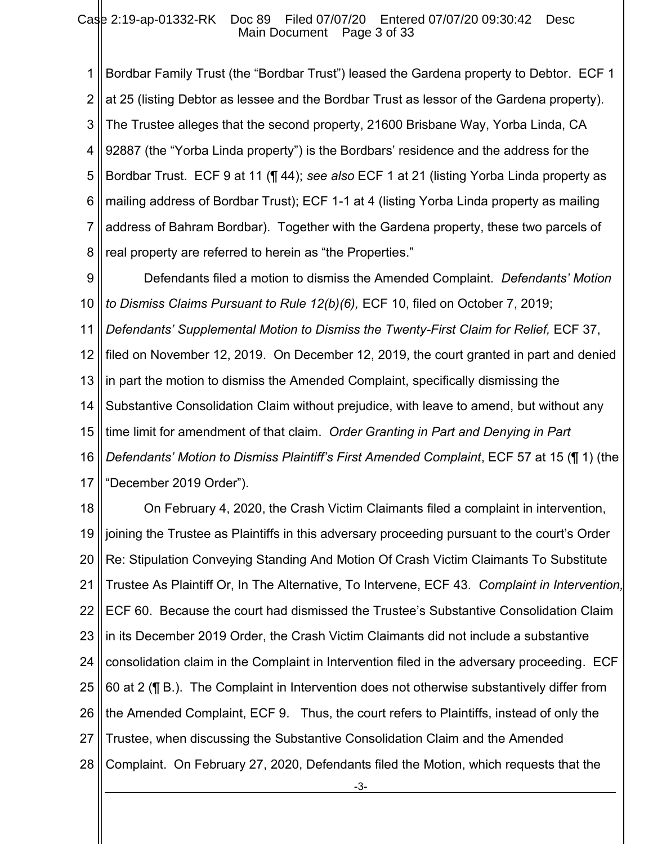1 2 3 4 5 6 7 8 Bordbar Family Trust (the "Bordbar Trust") leased the Gardena property to Debtor. ECF 1 at 25 (listing Debtor as lessee and the Bordbar Trust as lessor of the Gardena property). The Trustee alleges that the second property, 21600 Brisbane Way, Yorba Linda, CA 92887 (the "Yorba Linda property") is the Bordbars' residence and the address for the Bordbar Trust. ECF 9 at 11 (¶ 44); *see also* ECF 1 at 21 (listing Yorba Linda property as mailing address of Bordbar Trust); ECF 1-1 at 4 (listing Yorba Linda property as mailing address of Bahram Bordbar). Together with the Gardena property, these two parcels of real property are referred to herein as "the Properties."

9 10 11 12 13 14 15 16 17 Defendants filed a motion to dismiss the Amended Complaint. *Defendants' Motion to Dismiss Claims Pursuant to Rule 12(b)(6),* ECF 10, filed on October 7, 2019; *Defendants' Supplemental Motion to Dismiss the Twenty-First Claim for Relief,* ECF 37, filed on November 12, 2019. On December 12, 2019, the court granted in part and denied in part the motion to dismiss the Amended Complaint, specifically dismissing the Substantive Consolidation Claim without prejudice, with leave to amend, but without any time limit for amendment of that claim. *Order Granting in Part and Denying in Part Defendants' Motion to Dismiss Plaintiff's First Amended Complaint*, ECF 57 at 15 (¶ 1) (the "December 2019 Order").

18 19 20 21 22 23 24 25 26 27 28 On February 4, 2020, the Crash Victim Claimants filed a complaint in intervention, joining the Trustee as Plaintiffs in this adversary proceeding pursuant to the court's Order Re: Stipulation Conveying Standing And Motion Of Crash Victim Claimants To Substitute Trustee As Plaintiff Or, In The Alternative, To Intervene, ECF 43. *Complaint in Intervention,*  ECF 60. Because the court had dismissed the Trustee's Substantive Consolidation Claim in its December 2019 Order, the Crash Victim Claimants did not include a substantive consolidation claim in the Complaint in Intervention filed in the adversary proceeding. ECF 60 at 2 (¶ B.). The Complaint in Intervention does not otherwise substantively differ from the Amended Complaint, ECF 9. Thus, the court refers to Plaintiffs, instead of only the Trustee, when discussing the Substantive Consolidation Claim and the Amended Complaint. On February 27, 2020, Defendants filed the Motion, which requests that the

-3-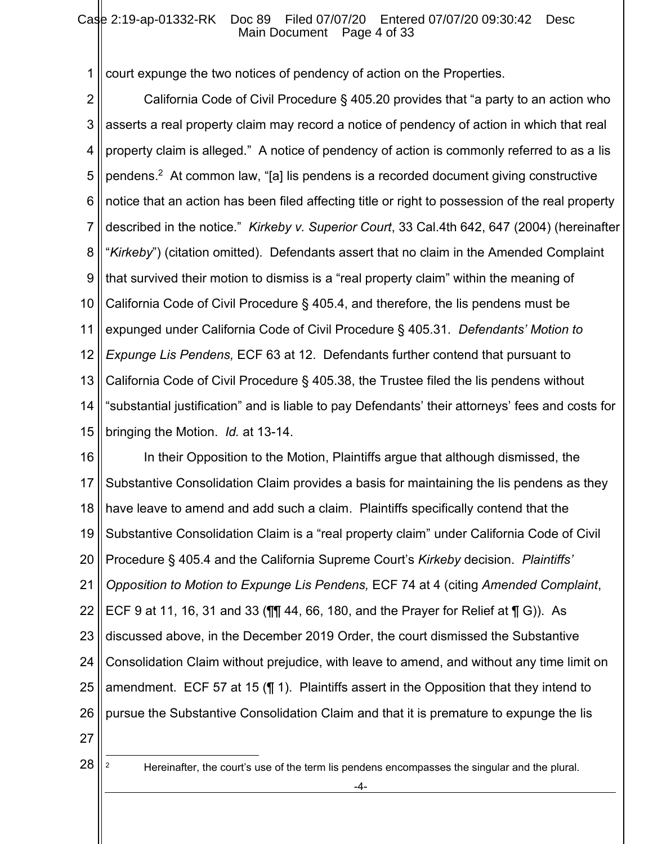1 court expunge the two notices of pendency of action on the Properties.

2 3 4 5 6 7 8 9 10 11 12 13 14 15 California Code of Civil Procedure § 405.20 provides that "a party to an action who asserts a real property claim may record a notice of pendency of action in which that real property claim is alleged." A notice of pendency of action is commonly referred to as a lis pendens. 2 At common law, "[a] lis pendens is a recorded document giving constructive notice that an action has been filed affecting title or right to possession of the real property described in the notice." *Kirkeby v. Superior Court*, 33 Cal.4th 642, 647 (2004) (hereinafter "*Kirkeby*") (citation omitted). Defendants assert that no claim in the Amended Complaint that survived their motion to dismiss is a "real property claim" within the meaning of California Code of Civil Procedure § 405.4, and therefore, the lis pendens must be expunged under California Code of Civil Procedure § 405.31. *Defendants' Motion to Expunge Lis Pendens,* ECF 63 at 12. Defendants further contend that pursuant to California Code of Civil Procedure § 405.38, the Trustee filed the lis pendens without "substantial justification" and is liable to pay Defendants' their attorneys' fees and costs for bringing the Motion. *Id.* at 13-14.

16 17 18 19 20 21 22 23 24 25 26 In their Opposition to the Motion, Plaintiffs argue that although dismissed, the Substantive Consolidation Claim provides a basis for maintaining the lis pendens as they have leave to amend and add such a claim. Plaintiffs specifically contend that the Substantive Consolidation Claim is a "real property claim" under California Code of Civil Procedure § 405.4 and the California Supreme Court's *Kirkeby* decision. *Plaintiffs' Opposition to Motion to Expunge Lis Pendens,* ECF 74 at 4 (citing *Amended Complaint*, ECF 9 at 11, 16, 31 and 33 (¶¶ 44, 66, 180, and the Prayer for Relief at ¶ G)). As discussed above, in the December 2019 Order, the court dismissed the Substantive Consolidation Claim without prejudice, with leave to amend, and without any time limit on amendment. ECF 57 at 15 (¶ 1). Plaintiffs assert in the Opposition that they intend to pursue the Substantive Consolidation Claim and that it is premature to expunge the lis

27

28

<sup>2</sup> Hereinafter, the court's use of the term lis pendens encompasses the singular and the plural.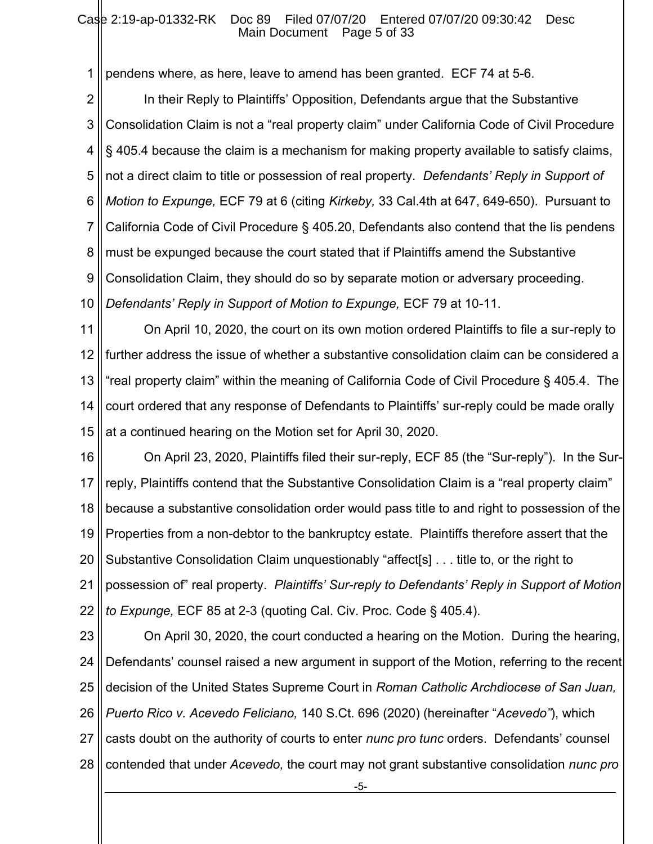#### Case 2:19-ap-01332-RK Doc 89 Filed 07/07/20 Entered 07/07/20 09:30:42 Desc Main Document Page 5 of 33

1 pendens where, as here, leave to amend has been granted. ECF 74 at 5-6.

2 3 4 5 6 7 8 9 10 In their Reply to Plaintiffs' Opposition, Defendants argue that the Substantive Consolidation Claim is not a "real property claim" under California Code of Civil Procedure § 405.4 because the claim is a mechanism for making property available to satisfy claims, not a direct claim to title or possession of real property. *Defendants' Reply in Support of Motion to Expunge,* ECF 79 at 6 (citing *Kirkeby,* 33 Cal.4th at 647, 649-650). Pursuant to California Code of Civil Procedure § 405.20, Defendants also contend that the lis pendens must be expunged because the court stated that if Plaintiffs amend the Substantive Consolidation Claim, they should do so by separate motion or adversary proceeding. *Defendants' Reply in Support of Motion to Expunge,* ECF 79 at 10-11.

11 12 13 14 15 On April 10, 2020, the court on its own motion ordered Plaintiffs to file a sur-reply to further address the issue of whether a substantive consolidation claim can be considered a "real property claim" within the meaning of California Code of Civil Procedure § 405.4. The court ordered that any response of Defendants to Plaintiffs' sur-reply could be made orally at a continued hearing on the Motion set for April 30, 2020.

16 17 18 19 20 21 22 On April 23, 2020, Plaintiffs filed their sur-reply, ECF 85 (the "Sur-reply"). In the Surreply, Plaintiffs contend that the Substantive Consolidation Claim is a "real property claim" because a substantive consolidation order would pass title to and right to possession of the Properties from a non-debtor to the bankruptcy estate. Plaintiffs therefore assert that the Substantive Consolidation Claim unquestionably "affect[s] . . . title to, or the right to possession of" real property. *Plaintiffs' Sur-reply to Defendants' Reply in Support of Motion to Expunge,* ECF 85 at 2-3 (quoting Cal. Civ. Proc. Code § 405.4).

23 24 25 26 27 28 On April 30, 2020, the court conducted a hearing on the Motion. During the hearing, Defendants' counsel raised a new argument in support of the Motion, referring to the recent decision of the United States Supreme Court in *Roman Catholic Archdiocese of San Juan, Puerto Rico v. Acevedo Feliciano,* 140 S.Ct. 696 (2020) (hereinafter "*Acevedo"*), which casts doubt on the authority of courts to enter *nunc pro tunc* orders. Defendants' counsel contended that under *Acevedo,* the court may not grant substantive consolidation *nunc pro* 

-5-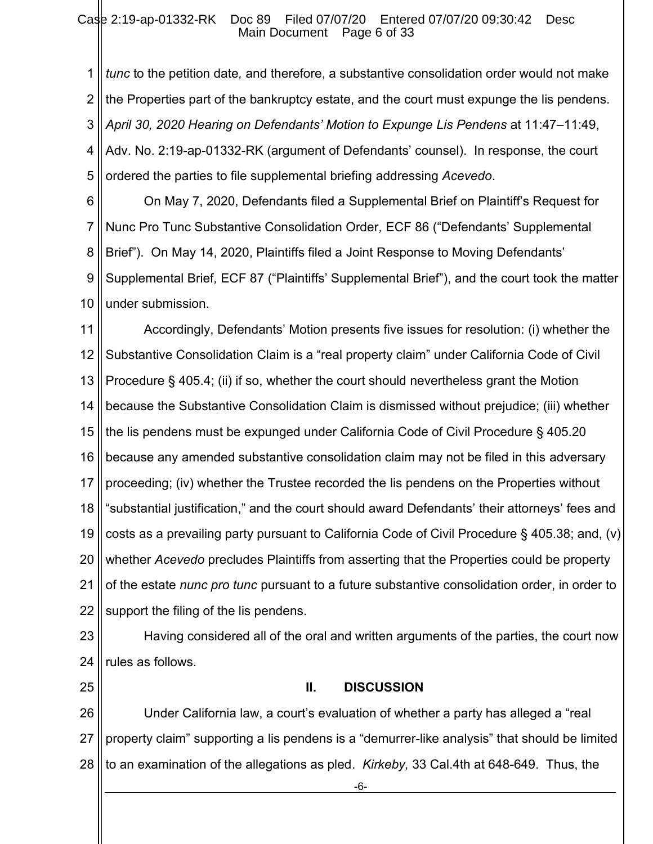1 2 3 4 5 *tunc* to the petition date*,* and therefore, a substantive consolidation order would not make the Properties part of the bankruptcy estate, and the court must expunge the lis pendens. *April 30, 2020 Hearing on Defendants' Motion to Expunge Lis Pendens* at 11:47–11:49, Adv. No. 2:19-ap-01332-RK (argument of Defendants' counsel). In response, the court ordered the parties to file supplemental briefing addressing *Acevedo*.

6 7 8 9 10 On May 7, 2020, Defendants filed a Supplemental Brief on Plaintiff's Request for Nunc Pro Tunc Substantive Consolidation Order*,* ECF 86 ("Defendants' Supplemental Brief"). On May 14, 2020, Plaintiffs filed a Joint Response to Moving Defendants' Supplemental Brief*,* ECF 87 ("Plaintiffs' Supplemental Brief"), and the court took the matter under submission.

11 12 13 14 15 16 17 18 19 20 21 22 Accordingly, Defendants' Motion presents five issues for resolution: (i) whether the Substantive Consolidation Claim is a "real property claim" under California Code of Civil Procedure § 405.4; (ii) if so, whether the court should nevertheless grant the Motion because the Substantive Consolidation Claim is dismissed without prejudice; (iii) whether the lis pendens must be expunged under California Code of Civil Procedure § 405.20 because any amended substantive consolidation claim may not be filed in this adversary proceeding; (iv) whether the Trustee recorded the lis pendens on the Properties without "substantial justification," and the court should award Defendants' their attorneys' fees and costs as a prevailing party pursuant to California Code of Civil Procedure § 405.38; and, (v) whether *Acevedo* precludes Plaintiffs from asserting that the Properties could be property of the estate *nunc pro tunc* pursuant to a future substantive consolidation order, in order to support the filing of the lis pendens.

23 24 Having considered all of the oral and written arguments of the parties, the court now rules as follows.

25

# **II. DISCUSSION**

26 27 28 Under California law, a court's evaluation of whether a party has alleged a "real property claim" supporting a lis pendens is a "demurrer-like analysis" that should be limited to an examination of the allegations as pled. *Kirkeby,* 33 Cal.4th at 648-649. Thus, the

-6-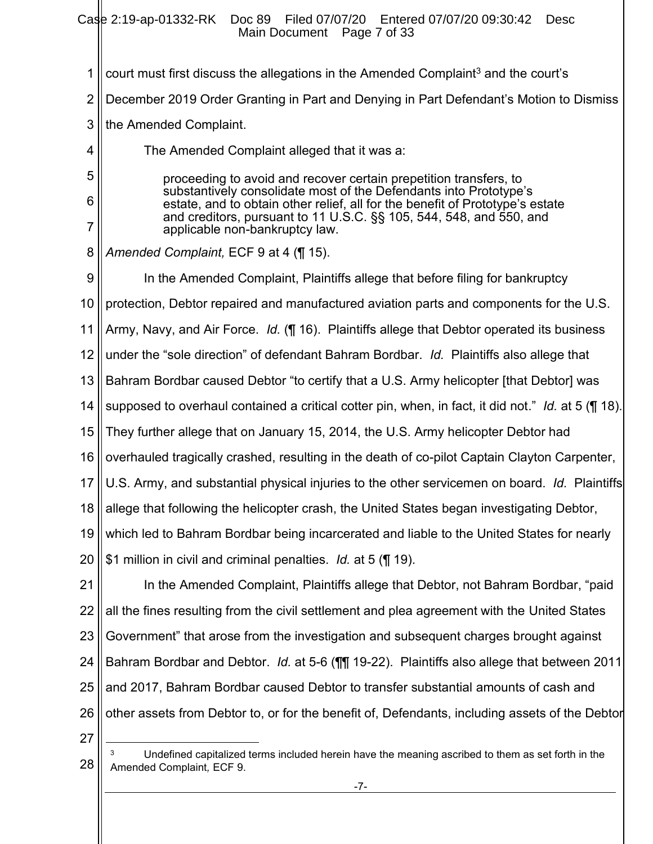Case 2:19-ap-01332-RK Doc 89 Filed 07/07/20 Entered 07/07/20 09:30:42 Desc

Main Document Page 7 of 33

1 2 3 4 5 6 7 8 9 10 11 12 13 14 15 16 17 18 19 20 21 22 23 24 25 26 27 court must first discuss the allegations in the Amended Complaint<sup>3</sup> and the court's December 2019 Order Granting in Part and Denying in Part Defendant's Motion to Dismiss the Amended Complaint. The Amended Complaint alleged that it was a: proceeding to avoid and recover certain prepetition transfers, to substantively consolidate most of the Defendants into Prototype's estate, and to obtain other relief, all for the benefit of Prototype's estate and creditors, pursuant to 11 U.S.C. §§ 105, 544, 548, and 550, and applicable non-bankruptcy law. *Amended Complaint,* ECF 9 at 4 (¶ 15). In the Amended Complaint, Plaintiffs allege that before filing for bankruptcy protection, Debtor repaired and manufactured aviation parts and components for the U.S. Army, Navy, and Air Force. *Id.* (¶ 16). Plaintiffs allege that Debtor operated its business under the "sole direction" of defendant Bahram Bordbar. *Id.* Plaintiffs also allege that Bahram Bordbar caused Debtor "to certify that a U.S. Army helicopter [that Debtor] was supposed to overhaul contained a critical cotter pin, when, in fact, it did not." *Id.* at 5 (¶ 18). They further allege that on January 15, 2014, the U.S. Army helicopter Debtor had overhauled tragically crashed, resulting in the death of co-pilot Captain Clayton Carpenter, U.S. Army, and substantial physical injuries to the other servicemen on board. *Id.* Plaintiffs allege that following the helicopter crash, the United States began investigating Debtor, which led to Bahram Bordbar being incarcerated and liable to the United States for nearly \$1 million in civil and criminal penalties. *Id.* at 5 (¶ 19). In the Amended Complaint, Plaintiffs allege that Debtor, not Bahram Bordbar, "paid all the fines resulting from the civil settlement and plea agreement with the United States Government" that arose from the investigation and subsequent charges brought against Bahram Bordbar and Debtor. *Id.* at 5-6 (¶¶ 19-22). Plaintiffs also allege that between 2011 and 2017, Bahram Bordbar caused Debtor to transfer substantial amounts of cash and other assets from Debtor to, or for the benefit of, Defendants, including assets of the Debtor

<sup>28</sup> Undefined capitalized terms included herein have the meaning ascribed to them as set forth in the Amended Complaint*,* ECF 9.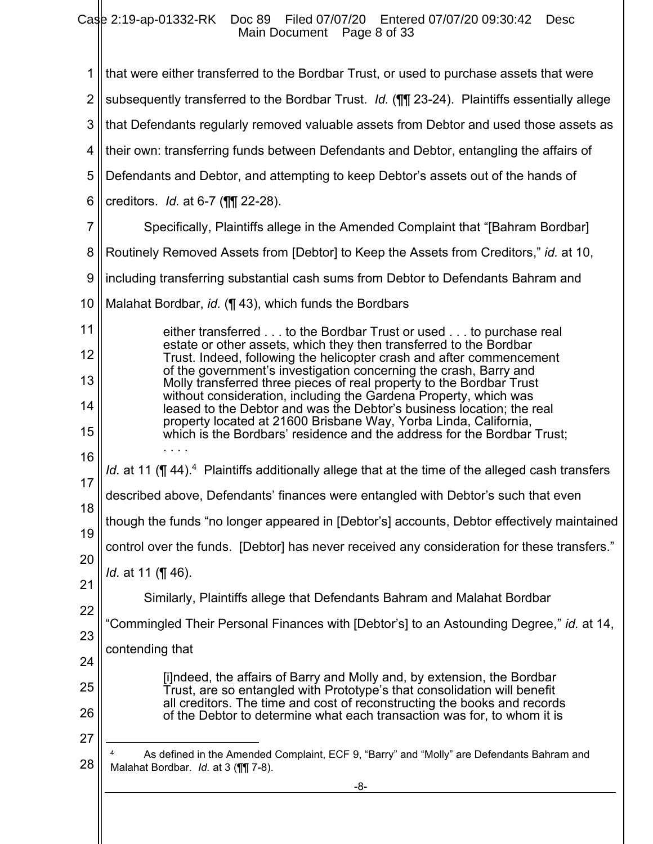Case 2:19-ap-01332-RK Doc 89 Filed 07/07/20 Entered 07/07/20 09:30:42 Desc Main Document Page 8 of 33

II

| 1              | that were either transferred to the Bordbar Trust, or used to purchase assets that were                                                              |  |  |  |
|----------------|------------------------------------------------------------------------------------------------------------------------------------------------------|--|--|--|
| $\overline{2}$ | subsequently transferred to the Bordbar Trust. Id. (11) 23-24). Plaintiffs essentially allege                                                        |  |  |  |
| 3              | that Defendants regularly removed valuable assets from Debtor and used those assets as                                                               |  |  |  |
| 4              | their own: transferring funds between Defendants and Debtor, entangling the affairs of                                                               |  |  |  |
| 5              | Defendants and Debtor, and attempting to keep Debtor's assets out of the hands of                                                                    |  |  |  |
| 6              | creditors. $Id.$ at 6-7 ( $\P$ $\P$ 22-28).                                                                                                          |  |  |  |
| 7              | Specifically, Plaintiffs allege in the Amended Complaint that "[Bahram Bordbar]                                                                      |  |  |  |
| 8              | Routinely Removed Assets from [Debtor] to Keep the Assets from Creditors," id. at 10,                                                                |  |  |  |
| 9              | including transferring substantial cash sums from Debtor to Defendants Bahram and                                                                    |  |  |  |
| 10             | Malahat Bordbar, id. (¶ 43), which funds the Bordbars                                                                                                |  |  |  |
| 11             | either transferred to the Bordbar Trust or used to purchase real                                                                                     |  |  |  |
| 12             | estate or other assets, which they then transferred to the Bordbar<br>Trust. Indeed, following the helicopter crash and after commencement           |  |  |  |
| 13             | of the government's investigation concerning the crash, Barry and<br>Molly transferred three pieces of real property to the Bordbar Trust            |  |  |  |
| 14             | without consideration, including the Gardena Property, which was<br>leased to the Debtor and was the Debtor's business location; the real            |  |  |  |
| 15             | property located at 21600 Brisbane Way, Yorba Linda, California,<br>which is the Bordbars' residence and the address for the Bordbar Trust;          |  |  |  |
| 16             |                                                                                                                                                      |  |  |  |
| 17             | Id. at 11 (¶ 44). <sup>4</sup> Plaintiffs additionally allege that at the time of the alleged cash transfers                                         |  |  |  |
| 18             | described above, Defendants' finances were entangled with Debtor's such that even                                                                    |  |  |  |
| 19             | though the funds "no longer appeared in [Debtor's] accounts, Debtor effectively maintained                                                           |  |  |  |
| 20             | control over the funds. [Debtor] has never received any consideration for these transfers."                                                          |  |  |  |
| 21             | <i>ld.</i> at 11 (¶ 46).                                                                                                                             |  |  |  |
| 22             | Similarly, Plaintiffs allege that Defendants Bahram and Malahat Bordbar                                                                              |  |  |  |
| 23             | 'Commingled Their Personal Finances with [Debtor's] to an Astounding Degree," id. at 14,                                                             |  |  |  |
| 24             | contending that                                                                                                                                      |  |  |  |
| 25             | [i]ndeed, the affairs of Barry and Molly and, by extension, the Bordbar                                                                              |  |  |  |
| 26             | Trust, are so entangled with Prototype's that consolidation will benefit<br>all creditors. The time and cost of reconstructing the books and records |  |  |  |
| 27             | of the Debtor to determine what each transaction was for, to whom it is                                                                              |  |  |  |
| 28             | As defined in the Amended Complaint, ECF 9, "Barry" and "Molly" are Defendants Bahram and<br>Malahat Bordbar. Id. at 3 (11) 7-8).                    |  |  |  |
|                | -8-                                                                                                                                                  |  |  |  |
|                |                                                                                                                                                      |  |  |  |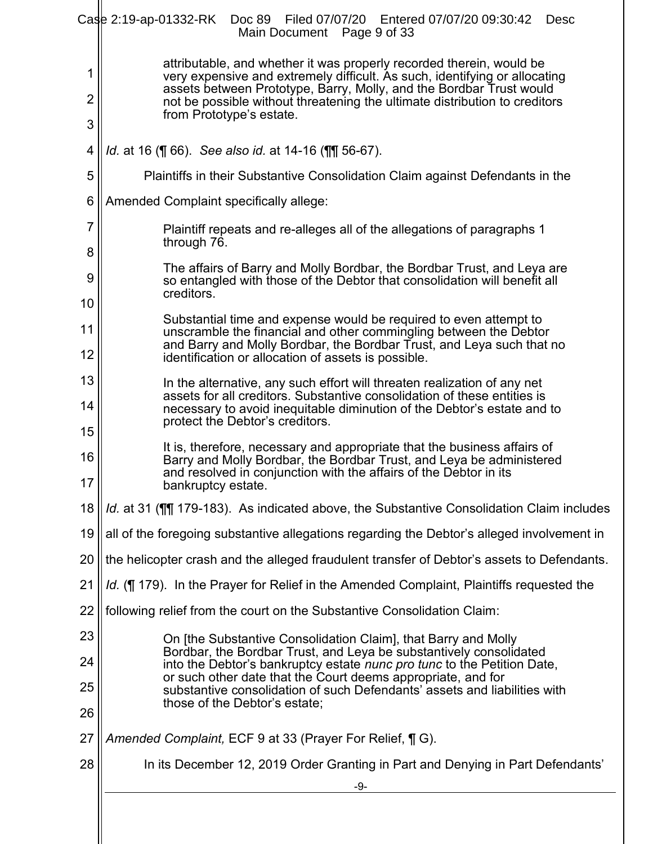|                          | Case 2:19-ap-01332-RK Doc 89 Filed 07/07/20 Entered 07/07/20 09:30:42<br><b>Desc</b><br>Main Document Page 9 of 33                                                                                                                                                                                                                  |  |  |  |
|--------------------------|-------------------------------------------------------------------------------------------------------------------------------------------------------------------------------------------------------------------------------------------------------------------------------------------------------------------------------------|--|--|--|
| 1<br>$\overline{2}$<br>3 | attributable, and whether it was properly recorded therein, would be<br>very expensive and extremely difficult. As such, identifying or allocating<br>assets between Prototype, Barry, Molly, and the Bordbar Trust would<br>not be possible without threatening the ultimate distribution to creditors<br>from Prototype's estate. |  |  |  |
| 4                        | <i>ld.</i> at 16 (¶ 66). See also id. at 14-16 (¶¶ 56-67).                                                                                                                                                                                                                                                                          |  |  |  |
| 5                        | Plaintiffs in their Substantive Consolidation Claim against Defendants in the                                                                                                                                                                                                                                                       |  |  |  |
| 6                        | Amended Complaint specifically allege:                                                                                                                                                                                                                                                                                              |  |  |  |
| 7<br>8                   | Plaintiff repeats and re-alleges all of the allegations of paragraphs 1<br>through 76.                                                                                                                                                                                                                                              |  |  |  |
| 9                        | The affairs of Barry and Molly Bordbar, the Bordbar Trust, and Leya are<br>so entangled with those of the Debtor that consolidation will benefit all<br>creditors.                                                                                                                                                                  |  |  |  |
| 10<br>11                 | Substantial time and expense would be required to even attempt to<br>unscramble the financial and other commingling between the Debtor<br>and Barry and Molly Bordbar, the Bordbar Trust, and Leya such that no                                                                                                                     |  |  |  |
| 12                       | identification or allocation of assets is possible.                                                                                                                                                                                                                                                                                 |  |  |  |
| 13<br>14                 | In the alternative, any such effort will threaten realization of any net<br>assets for all creditors. Substantive consolidation of these entities is<br>necessary to avoid inequitable diminution of the Debtor's estate and to<br>protect the Debtor's creditors.                                                                  |  |  |  |
| 15<br>16<br>17           | It is, therefore, necessary and appropriate that the business affairs of<br>Barry and Molly Bordbar, the Bordbar Trust, and Leya be administered<br>and resolved in conjunction with the affairs of the Debtor in its<br>bankruptcy estate.                                                                                         |  |  |  |
| 18                       | Id. at 31 (TI 179-183). As indicated above, the Substantive Consolidation Claim includes                                                                                                                                                                                                                                            |  |  |  |
| 19                       | all of the foregoing substantive allegations regarding the Debtor's alleged involvement in                                                                                                                                                                                                                                          |  |  |  |
| 20                       | the helicopter crash and the alleged fraudulent transfer of Debtor's assets to Defendants.                                                                                                                                                                                                                                          |  |  |  |
| 21                       | Id. (¶ 179). In the Prayer for Relief in the Amended Complaint, Plaintiffs requested the                                                                                                                                                                                                                                            |  |  |  |
| 22                       | following relief from the court on the Substantive Consolidation Claim:                                                                                                                                                                                                                                                             |  |  |  |
| 23                       | On [the Substantive Consolidation Claim], that Barry and Molly<br>Bordbar, the Bordbar Trust, and Leya be substantively consolidated                                                                                                                                                                                                |  |  |  |
| 24                       | into the Debtor's bankruptcy estate nunc pro tunc to the Petition Date,<br>or such other date that the Court deems appropriate, and for                                                                                                                                                                                             |  |  |  |
| 25<br>26                 | substantive consolidation of such Defendants' assets and liabilities with<br>those of the Debtor's estate;                                                                                                                                                                                                                          |  |  |  |
| 27                       | Amended Complaint, ECF 9 at 33 (Prayer For Relief, ¶ G).                                                                                                                                                                                                                                                                            |  |  |  |
| 28                       | In its December 12, 2019 Order Granting in Part and Denying in Part Defendants'<br>-9-                                                                                                                                                                                                                                              |  |  |  |
|                          |                                                                                                                                                                                                                                                                                                                                     |  |  |  |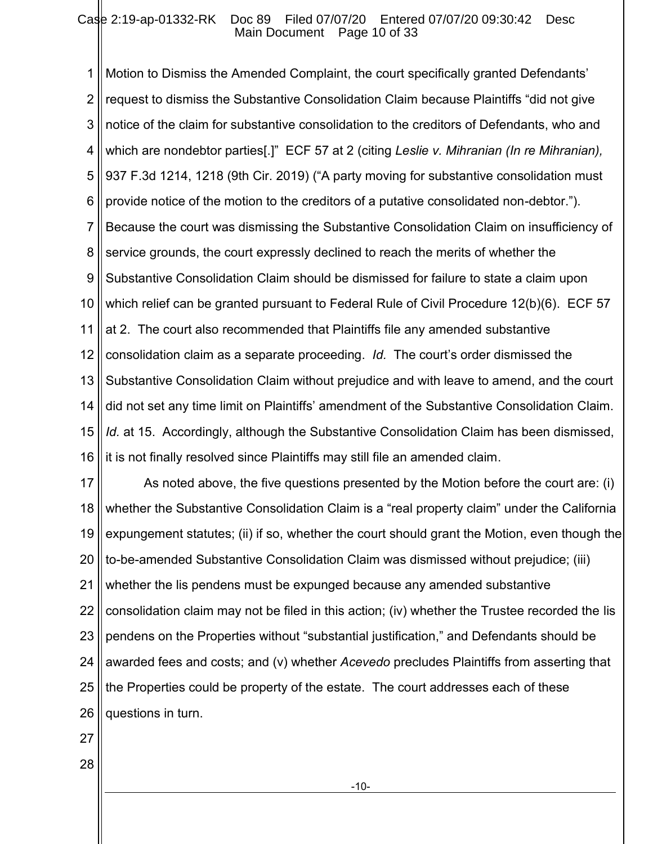1 2 3 4 5 6 7 8 9 10 11 12 13 14 15 16 Motion to Dismiss the Amended Complaint, the court specifically granted Defendants' request to dismiss the Substantive Consolidation Claim because Plaintiffs "did not give notice of the claim for substantive consolidation to the creditors of Defendants, who and which are nondebtor parties[.]" ECF 57 at 2 (citing *Leslie v. Mihranian (In re Mihranian),*  937 F.3d 1214, 1218 (9th Cir. 2019) ("A party moving for substantive consolidation must provide notice of the motion to the creditors of a putative consolidated non-debtor."). Because the court was dismissing the Substantive Consolidation Claim on insufficiency of service grounds, the court expressly declined to reach the merits of whether the Substantive Consolidation Claim should be dismissed for failure to state a claim upon which relief can be granted pursuant to Federal Rule of Civil Procedure 12(b)(6). ECF 57 at 2. The court also recommended that Plaintiffs file any amended substantive consolidation claim as a separate proceeding. *Id.* The court's order dismissed the Substantive Consolidation Claim without prejudice and with leave to amend, and the court did not set any time limit on Plaintiffs' amendment of the Substantive Consolidation Claim. *Id.* at 15. Accordingly, although the Substantive Consolidation Claim has been dismissed, it is not finally resolved since Plaintiffs may still file an amended claim.

17 18 19 20 21 22 23 24 25 26 As noted above, the five questions presented by the Motion before the court are: (i) whether the Substantive Consolidation Claim is a "real property claim" under the California expungement statutes; (ii) if so, whether the court should grant the Motion, even though the to-be-amended Substantive Consolidation Claim was dismissed without prejudice; (iii) whether the lis pendens must be expunged because any amended substantive consolidation claim may not be filed in this action; (iv) whether the Trustee recorded the lis pendens on the Properties without "substantial justification," and Defendants should be awarded fees and costs; and (v) whether *Acevedo* precludes Plaintiffs from asserting that the Properties could be property of the estate. The court addresses each of these questions in turn.

27

28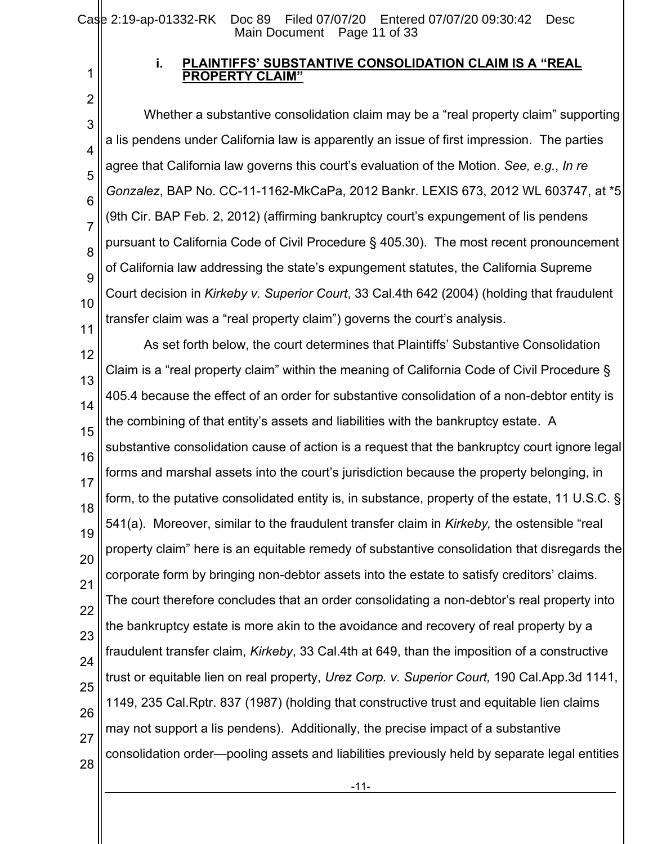1 2

## **i. PLAINTIFFS' SUBSTANTIVE CONSOLIDATION CLAIM IS A "REAL ROPERTY CI**

3 4 5 6 7 8 9 10 11 Whether a substantive consolidation claim may be a "real property claim" supporting a lis pendens under California law is apparently an issue of first impression. The parties agree that California law governs this court's evaluation of the Motion. *See, e.g.*, *In re Gonzalez*, BAP No. CC-11-1162-MkCaPa, 2012 Bankr. LEXIS 673, 2012 WL 603747, at \*5 (9th Cir. BAP Feb. 2, 2012) (affirming bankruptcy court's expungement of lis pendens pursuant to California Code of Civil Procedure § 405.30). The most recent pronouncement of California law addressing the state's expungement statutes, the California Supreme Court decision in *Kirkeby v. Superior Court*, 33 Cal.4th 642 (2004) (holding that fraudulent transfer claim was a "real property claim") governs the court's analysis.

12 13 14 15 16 17 18 19 20 21 22 23 24 25 26 27 28 As set forth below, the court determines that Plaintiffs' Substantive Consolidation Claim is a "real property claim" within the meaning of California Code of Civil Procedure § 405.4 because the effect of an order for substantive consolidation of a non-debtor entity is the combining of that entity's assets and liabilities with the bankruptcy estate. A substantive consolidation cause of action is a request that the bankruptcy court ignore legal forms and marshal assets into the court's jurisdiction because the property belonging, in form, to the putative consolidated entity is, in substance, property of the estate, 11 U.S.C. § 541(a). Moreover, similar to the fraudulent transfer claim in *Kirkeby,* the ostensible "real property claim" here is an equitable remedy of substantive consolidation that disregards the corporate form by bringing non-debtor assets into the estate to satisfy creditors' claims. The court therefore concludes that an order consolidating a non-debtor's real property into the bankruptcy estate is more akin to the avoidance and recovery of real property by a fraudulent transfer claim, *Kirkeby*, 33 Cal.4th at 649, than the imposition of a constructive trust or equitable lien on real property, *Urez Corp. v. Superior Court,* 190 Cal.App.3d 1141, 1149, 235 Cal.Rptr. 837 (1987) (holding that constructive trust and equitable lien claims may not support a lis pendens). Additionally, the precise impact of a substantive consolidation order—pooling assets and liabilities previously held by separate legal entities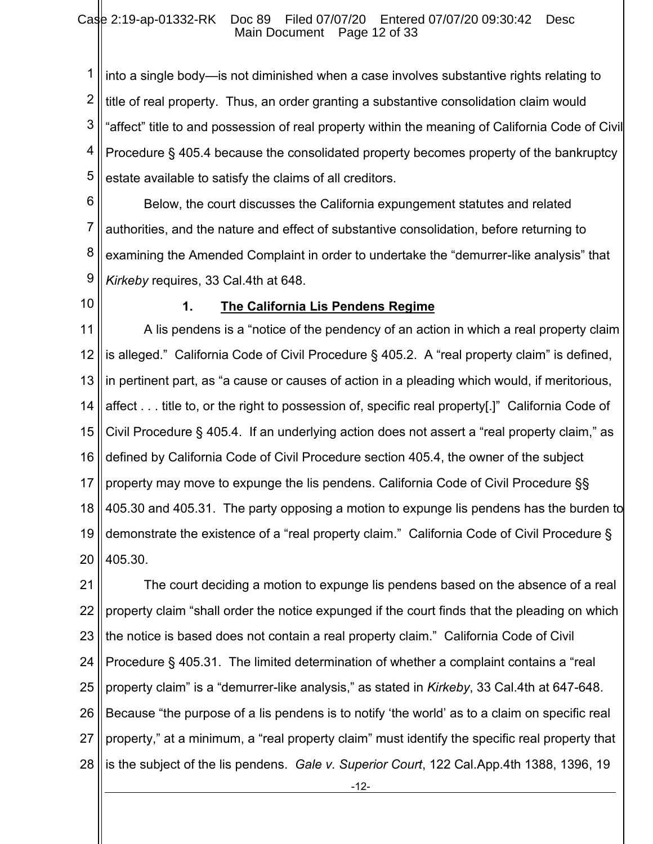1 2 3 4 5 into a single body—is not diminished when a case involves substantive rights relating to title of real property. Thus, an order granting a substantive consolidation claim would "affect" title to and possession of real property within the meaning of California Code of Civil Procedure § 405.4 because the consolidated property becomes property of the bankruptcy estate available to satisfy the claims of all creditors.

6 7 8 9 Below, the court discusses the California expungement statutes and related authorities, and the nature and effect of substantive consolidation, before returning to examining the Amended Complaint in order to undertake the "demurrer-like analysis" that *Kirkeby* requires, 33 Cal.4th at 648.

10

## **1. The California Lis Pendens Regime**

11 12 13 14 15 16 17 18 19 20 A lis pendens is a "notice of the pendency of an action in which a real property claim is alleged." California Code of Civil Procedure § 405.2. A "real property claim" is defined, in pertinent part, as "a cause or causes of action in a pleading which would, if meritorious, affect . . . title to, or the right to possession of, specific real property[.]" California Code of Civil Procedure § 405.4. If an underlying action does not assert a "real property claim," as defined by California Code of Civil Procedure section 405.4, the owner of the subject property may move to expunge the lis pendens. California Code of Civil Procedure §§ 405.30 and 405.31. The party opposing a motion to expunge lis pendens has the burden to demonstrate the existence of a "real property claim." California Code of Civil Procedure § 405.30.

21 22 23 24 25 26 27 28 The court deciding a motion to expunge lis pendens based on the absence of a real property claim "shall order the notice expunged if the court finds that the pleading on which the notice is based does not contain a real property claim." California Code of Civil Procedure § 405.31. The limited determination of whether a complaint contains a "real property claim" is a "demurrer-like analysis," as stated in *Kirkeby*, 33 Cal.4th at 647-648. Because "the purpose of a lis pendens is to notify 'the world' as to a claim on specific real property," at a minimum, a "real property claim" must identify the specific real property that is the subject of the lis pendens. *Gale v. Superior Court*, 122 Cal.App.4th 1388, 1396, 19

-12-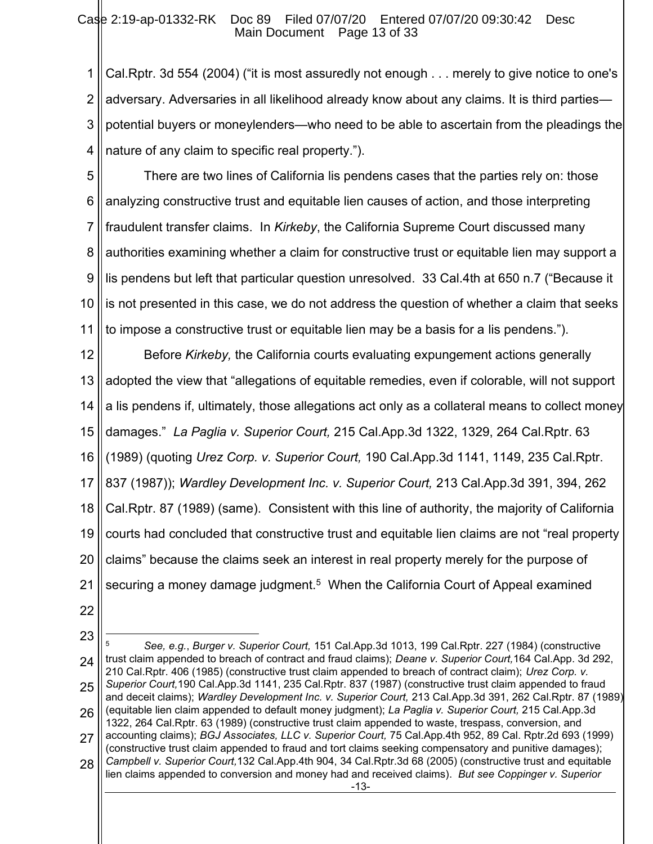#### Case 2:19-ap-01332-RK Doc 89 Filed 07/07/20 Entered 07/07/20 09:30:42 Desc Main Document Page 13 of 33

1 2 3 4 Cal.Rptr. 3d 554 (2004) ("it is most assuredly not enough . . . merely to give notice to one's adversary. Adversaries in all likelihood already know about any claims. It is third parties potential buyers or moneylenders—who need to be able to ascertain from the pleadings the nature of any claim to specific real property.").

5 6 7 8 9 10 11 There are two lines of California lis pendens cases that the parties rely on: those analyzing constructive trust and equitable lien causes of action, and those interpreting fraudulent transfer claims. In *Kirkeby*, the California Supreme Court discussed many authorities examining whether a claim for constructive trust or equitable lien may support a lis pendens but left that particular question unresolved. 33 Cal.4th at 650 n.7 ("Because it is not presented in this case, we do not address the question of whether a claim that seeks to impose a constructive trust or equitable lien may be a basis for a lis pendens.").

12 13 14 15 16 17 18 19 20 21 Before *Kirkeby,* the California courts evaluating expungement actions generally adopted the view that "allegations of equitable remedies, even if colorable, will not support a lis pendens if, ultimately, those allegations act only as a collateral means to collect money damages." *La Paglia v. Superior Court,* 215 Cal.App.3d 1322, 1329, 264 Cal.Rptr. 63 (1989) (quoting *Urez Corp. v. Superior Court,* 190 Cal.App.3d 1141, 1149, 235 Cal.Rptr. 837 (1987)); *Wardley Development Inc. v. Superior Court,* 213 Cal.App.3d 391, 394, 262 Cal.Rptr. 87 (1989) (same). Consistent with this line of authority, the majority of California courts had concluded that constructive trust and equitable lien claims are not "real property claims" because the claims seek an interest in real property merely for the purpose of securing a money damage judgment.<sup>5</sup> When the California Court of Appeal examined

- 22
- 23
- 24 25 26 27 28 <sup>5</sup> *See, e.g.*, *Burger v. Superior Court,* 151 Cal.App.3d 1013, 199 Cal.Rptr. 227 (1984) (constructive trust claim appended to breach of contract and fraud claims); *Deane v. Superior Court,*164 Cal.App. 3d 292, 210 Cal.Rptr. 406 (1985) (constructive trust claim appended to breach of contract claim); *Urez Corp. v. Superior Court,*190 Cal.App.3d 1141, 235 Cal.Rptr. 837 (1987) (constructive trust claim appended to fraud and deceit claims); *Wardley Development Inc. v. Superior Court,* 213 Cal.App.3d 391, 262 Cal.Rptr. 87 (1989) (equitable lien claim appended to default money judgment); *La Paglia v. Superior Court,* 215 Cal.App.3d 1322, 264 Cal.Rptr. 63 (1989) (constructive trust claim appended to waste, trespass, conversion, and accounting claims); *BGJ Associates, LLC v. Superior Court,* 75 Cal.App.4th 952, 89 Cal. Rptr.2d 693 (1999) (constructive trust claim appended to fraud and tort claims seeking compensatory and punitive damages); *Campbell v. Superior Court,*132 Cal.App.4th 904, 34 Cal.Rptr.3d 68 (2005) (constructive trust and equitable lien claims appended to conversion and money had and received claims). *But see Coppinger v. Superior*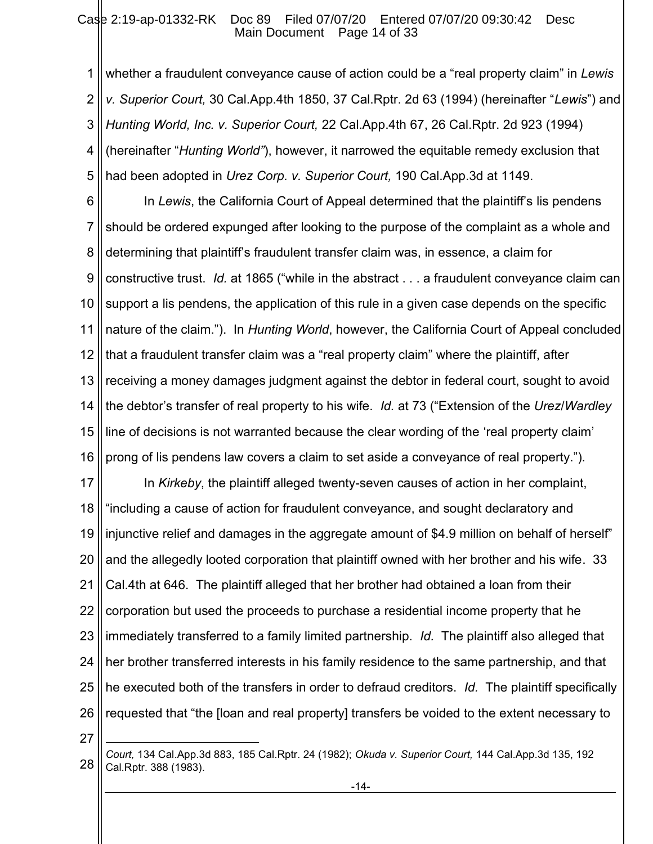1 2 3 4 5 whether a fraudulent conveyance cause of action could be a "real property claim" in *Lewis v. Superior Court,* 30 Cal.App.4th 1850, 37 Cal.Rptr. 2d 63 (1994) (hereinafter "*Lewis*") and *Hunting World, Inc. v. Superior Court,* 22 Cal.App.4th 67, 26 Cal.Rptr. 2d 923 (1994) (hereinafter "*Hunting World"*), however, it narrowed the equitable remedy exclusion that had been adopted in *Urez Corp. v. Superior Court,* 190 Cal.App.3d at 1149.

6 7 8 9 10 11 12 13 14 15 16 In *Lewis*, the California Court of Appeal determined that the plaintiff's lis pendens should be ordered expunged after looking to the purpose of the complaint as a whole and determining that plaintiff's fraudulent transfer claim was, in essence, a claim for constructive trust. *Id.* at 1865 ("while in the abstract . . . a fraudulent conveyance claim can support a lis pendens, the application of this rule in a given case depends on the specific nature of the claim."). In *Hunting World*, however, the California Court of Appeal concluded that a fraudulent transfer claim was a "real property claim" where the plaintiff, after receiving a money damages judgment against the debtor in federal court, sought to avoid the debtor's transfer of real property to his wife. *Id.* at 73 ("Extension of the *Urez*/*Wardley*  line of decisions is not warranted because the clear wording of the 'real property claim' prong of lis pendens law covers a claim to set aside a conveyance of real property.").

17 18 19 20 21 22 23 24 25 26 In *Kirkeby*, the plaintiff alleged twenty-seven causes of action in her complaint, "including a cause of action for fraudulent conveyance, and sought declaratory and injunctive relief and damages in the aggregate amount of \$4.9 million on behalf of herself" and the allegedly looted corporation that plaintiff owned with her brother and his wife. 33 Cal.4th at 646. The plaintiff alleged that her brother had obtained a loan from their corporation but used the proceeds to purchase a residential income property that he immediately transferred to a family limited partnership. *Id.* The plaintiff also alleged that her brother transferred interests in his family residence to the same partnership, and that he executed both of the transfers in order to defraud creditors. *Id.* The plaintiff specifically requested that "the [loan and real property] transfers be voided to the extent necessary to

27

<sup>28</sup> *Court,* 134 Cal.App.3d 883, 185 Cal.Rptr. 24 (1982); *Okuda v. Superior Court,* 144 Cal.App.3d 135, 192 Cal.Rptr. 388 (1983).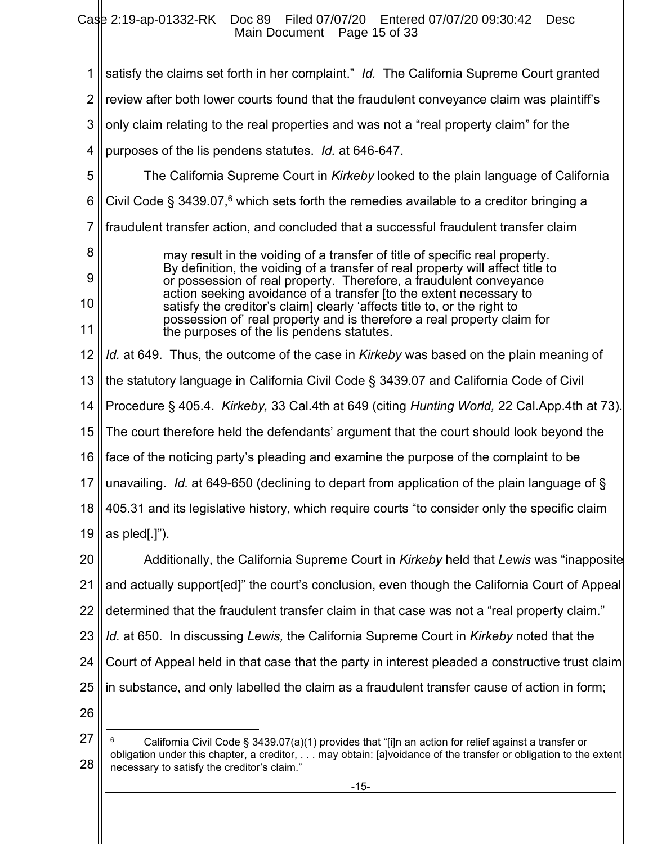Case 2:19-ap-01332-RK Doc 89 Filed 07/07/20 Entered 07/07/20 09:30:42 Desc Main Document Page 15 of 33

1 2 3 4 5 6 7 8 9 10 11 12 13 14 15 16 17 18 19 20 21 22 23 24 25 26 27 satisfy the claims set forth in her complaint." *Id.* The California Supreme Court granted review after both lower courts found that the fraudulent conveyance claim was plaintiff's only claim relating to the real properties and was not a "real property claim" for the purposes of the lis pendens statutes. *Id.* at 646-647. The California Supreme Court in *Kirkeby* looked to the plain language of California Civil Code § 3439.07,<sup>6</sup> which sets forth the remedies available to a creditor bringing a fraudulent transfer action, and concluded that a successful fraudulent transfer claim may result in the voiding of a transfer of title of specific real property. By definition, the voiding of a transfer of real property will affect title to or possession of real property. Therefore, a fraudulent conveyance action seeking avoidance of a transfer [to the extent necessary to satisfy the creditor's claim] clearly 'affects title to, or the right to possession of' real property and is therefore a real property claim for the purposes of the lis pendens statutes. *Id.* at 649. Thus, the outcome of the case in *Kirkeby* was based on the plain meaning of the statutory language in California Civil Code § 3439.07 and California Code of Civil Procedure § 405.4. *Kirkeby,* 33 Cal.4th at 649 (citing *Hunting World,* 22 Cal.App.4th at 73). The court therefore held the defendants' argument that the court should look beyond the face of the noticing party's pleading and examine the purpose of the complaint to be unavailing. *Id.* at 649-650 (declining to depart from application of the plain language of § 405.31 and its legislative history, which require courts "to consider only the specific claim as pled[.]"). Additionally, the California Supreme Court in *Kirkeby* held that *Lewis* was "inapposite and actually support[ed]" the court's conclusion, even though the California Court of Appeal determined that the fraudulent transfer claim in that case was not a "real property claim." *Id.* at 650. In discussing *Lewis,* the California Supreme Court in *Kirkeby* noted that the Court of Appeal held in that case that the party in interest pleaded a constructive trust claim in substance, and only labelled the claim as a fraudulent transfer cause of action in form; California Civil Code § 3439.07(a)(1) provides that "[i]n an action for relief against a transfer or obligation under this chapter, a creditor, . . . may obtain: [a]voidance of the transfer or obligation to the extent

<sup>28</sup> necessary to satisfy the creditor's claim."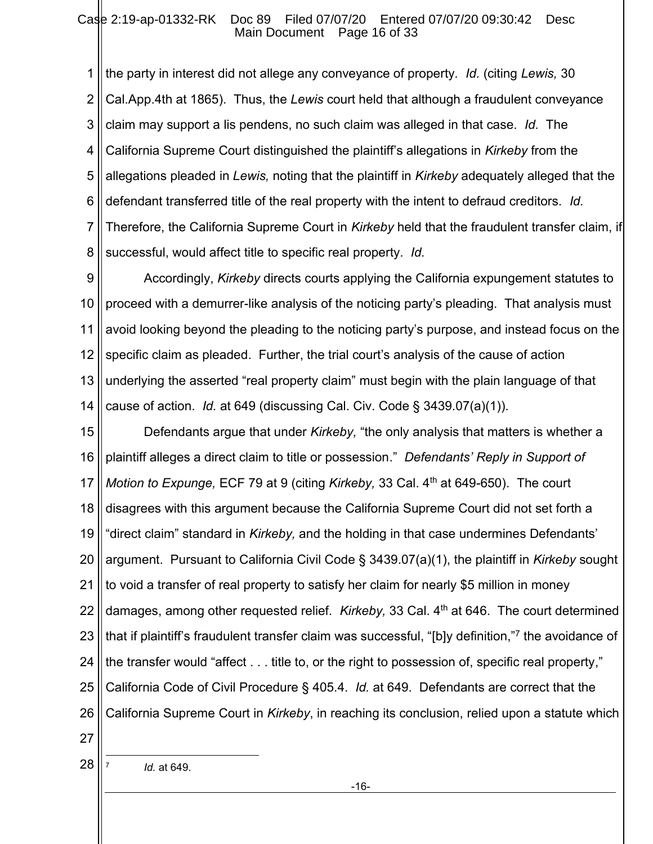1 2 3 4 5 6 7 8 the party in interest did not allege any conveyance of property. *Id.* (citing *Lewis,* 30 Cal.App.4th at 1865). Thus, the *Lewis* court held that although a fraudulent conveyance claim may support a lis pendens, no such claim was alleged in that case. *Id.* The California Supreme Court distinguished the plaintiff's allegations in *Kirkeby* from the allegations pleaded in *Lewis,* noting that the plaintiff in *Kirkeby* adequately alleged that the defendant transferred title of the real property with the intent to defraud creditors. *Id.* Therefore, the California Supreme Court in *Kirkeby* held that the fraudulent transfer claim, if successful, would affect title to specific real property. *Id.* 

9 10 11 12 13 14 Accordingly, *Kirkeby* directs courts applying the California expungement statutes to proceed with a demurrer-like analysis of the noticing party's pleading. That analysis must avoid looking beyond the pleading to the noticing party's purpose, and instead focus on the specific claim as pleaded. Further, the trial court's analysis of the cause of action underlying the asserted "real property claim" must begin with the plain language of that cause of action. *Id.* at 649 (discussing Cal. Civ. Code § 3439.07(a)(1)).

15 16 17 18 19 20 21 22 23 24 25 26 Defendants argue that under *Kirkeby,* "the only analysis that matters is whether a plaintiff alleges a direct claim to title or possession." *Defendants' Reply in Support of Motion to Expunge, ECF 79 at 9 (citing Kirkeby, 33 Cal. 4<sup>th</sup> at 649-650). The court* disagrees with this argument because the California Supreme Court did not set forth a "direct claim" standard in *Kirkeby,* and the holding in that case undermines Defendants' argument. Pursuant to California Civil Code § 3439.07(a)(1), the plaintiff in *Kirkeby* sought to void a transfer of real property to satisfy her claim for nearly \$5 million in money damages, among other requested relief. *Kirkeby,* 33 Cal. 4th at 646. The court determined that if plaintiff's fraudulent transfer claim was successful, "[b]y definition,"<sup>7</sup> the avoidance of the transfer would "affect . . . title to, or the right to possession of, specific real property," California Code of Civil Procedure § 405.4. *Id.* at 649. Defendants are correct that the California Supreme Court in *Kirkeby*, in reaching its conclusion, relied upon a statute which

27

28

7

*Id.* at 649.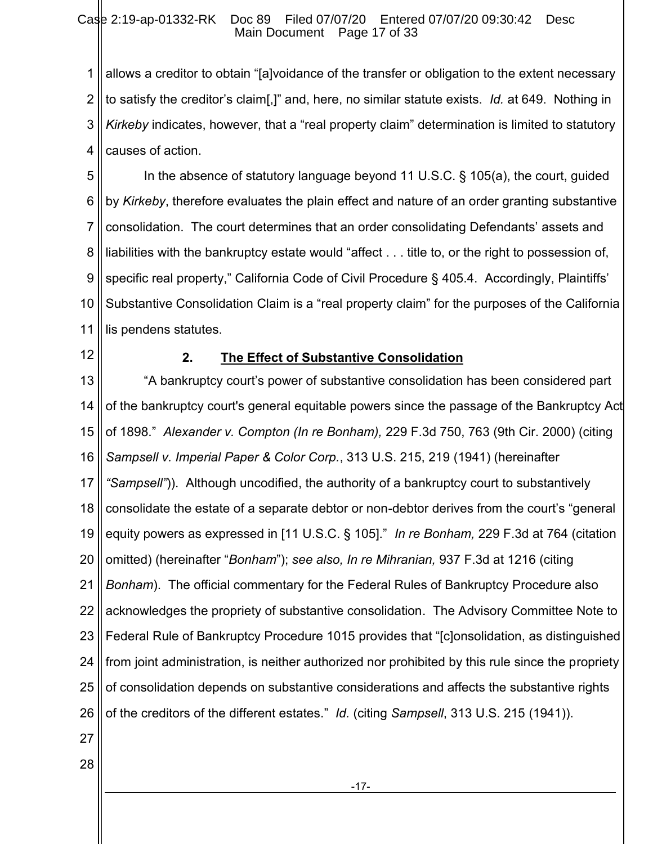1 2 3 4 allows a creditor to obtain "[a]voidance of the transfer or obligation to the extent necessary to satisfy the creditor's claim[,]" and, here, no similar statute exists. *Id.* at 649. Nothing in *Kirkeby* indicates, however, that a "real property claim" determination is limited to statutory causes of action.

5 6 7 8 9 10 11 In the absence of statutory language beyond 11 U.S.C. § 105(a), the court, guided by *Kirkeby*, therefore evaluates the plain effect and nature of an order granting substantive consolidation. The court determines that an order consolidating Defendants' assets and liabilities with the bankruptcy estate would "affect . . . title to, or the right to possession of, specific real property," California Code of Civil Procedure § 405.4. Accordingly, Plaintiffs' Substantive Consolidation Claim is a "real property claim" for the purposes of the California lis pendens statutes.

12

# **2. The Effect of Substantive Consolidation**

13 14 15 16 17 18 19 20 21 22 23 24 25 26 27 "A bankruptcy court's power of substantive consolidation has been considered part of the bankruptcy court's general equitable powers since the passage of the Bankruptcy Act of 1898." *Alexander v. Compton (In re Bonham),* 229 F.3d 750, 763 (9th Cir. 2000) (citing *Sampsell v. Imperial Paper & Color Corp.*, 313 U.S. 215, 219 (1941) (hereinafter *"Sampsell"*)). Although uncodified, the authority of a bankruptcy court to substantively consolidate the estate of a separate debtor or non-debtor derives from the court's "general equity powers as expressed in [11 U.S.C. § 105]." *In re Bonham,* 229 F.3d at 764 (citation omitted) (hereinafter "*Bonham*"); *see also, In re Mihranian,* 937 F.3d at 1216 (citing *Bonham*). The official commentary for the Federal Rules of Bankruptcy Procedure also acknowledges the propriety of substantive consolidation. The Advisory Committee Note to Federal Rule of Bankruptcy Procedure 1015 provides that "[c]onsolidation, as distinguished from joint administration, is neither authorized nor prohibited by this rule since the propriety of consolidation depends on substantive considerations and affects the substantive rights of the creditors of the different estates." *Id.* (citing *Sampsell*, 313 U.S. 215 (1941)).

-17-

28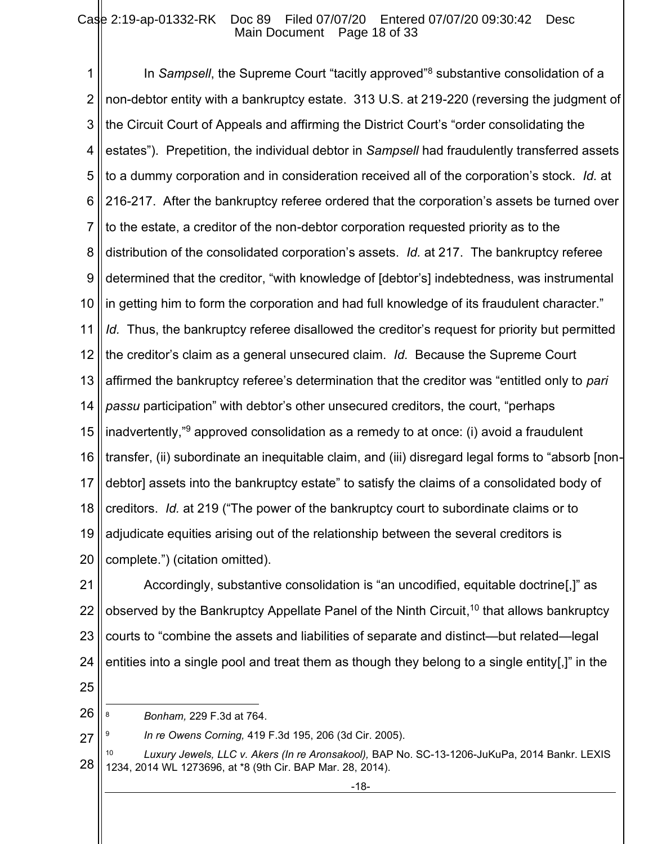1 2 3 4 5 6 7 8 9 10 11 12 13 14 15 16 17 18 19 20 In *Sampsell*, the Supreme Court "tacitly approved"<sup>8</sup> substantive consolidation of a non-debtor entity with a bankruptcy estate. 313 U.S. at 219-220 (reversing the judgment of the Circuit Court of Appeals and affirming the District Court's "order consolidating the estates"). Prepetition, the individual debtor in *Sampsell* had fraudulently transferred assets to a dummy corporation and in consideration received all of the corporation's stock. *Id.* at 216-217. After the bankruptcy referee ordered that the corporation's assets be turned over to the estate, a creditor of the non-debtor corporation requested priority as to the distribution of the consolidated corporation's assets. *Id.* at 217. The bankruptcy referee determined that the creditor, "with knowledge of [debtor's] indebtedness, was instrumental in getting him to form the corporation and had full knowledge of its fraudulent character." *Id.* Thus, the bankruptcy referee disallowed the creditor's request for priority but permitted the creditor's claim as a general unsecured claim. *Id.* Because the Supreme Court affirmed the bankruptcy referee's determination that the creditor was "entitled only to *pari passu* participation" with debtor's other unsecured creditors, the court, "perhaps inadvertently,"<sup>9</sup> approved consolidation as a remedy to at once: (i) avoid a fraudulent transfer, (ii) subordinate an inequitable claim, and (iii) disregard legal forms to "absorb [nondebtor] assets into the bankruptcy estate" to satisfy the claims of a consolidated body of creditors. *Id.* at 219 ("The power of the bankruptcy court to subordinate claims or to adjudicate equities arising out of the relationship between the several creditors is complete.") (citation omitted).

21 22 23 24 Accordingly, substantive consolidation is "an uncodified, equitable doctrine[,]" as observed by the Bankruptcy Appellate Panel of the Ninth Circuit,<sup>10</sup> that allows bankruptcy courts to "combine the assets and liabilities of separate and distinct—but related—legal entities into a single pool and treat them as though they belong to a single entity[,]" in the

25

27

- 26 <sup>8</sup> *Bonham,* 229 F.3d at 764.
	- 9 *In re Owens Corning,* 419 F.3d 195, 206 (3d Cir. 2005).
- 28 <sup>10</sup> *Luxury Jewels, LLC v. Akers (In re Aronsakool),* BAP No. SC-13-1206-JuKuPa, 2014 Bankr. LEXIS 1234, 2014 WL 1273696, at \*8 (9th Cir. BAP Mar. 28, 2014).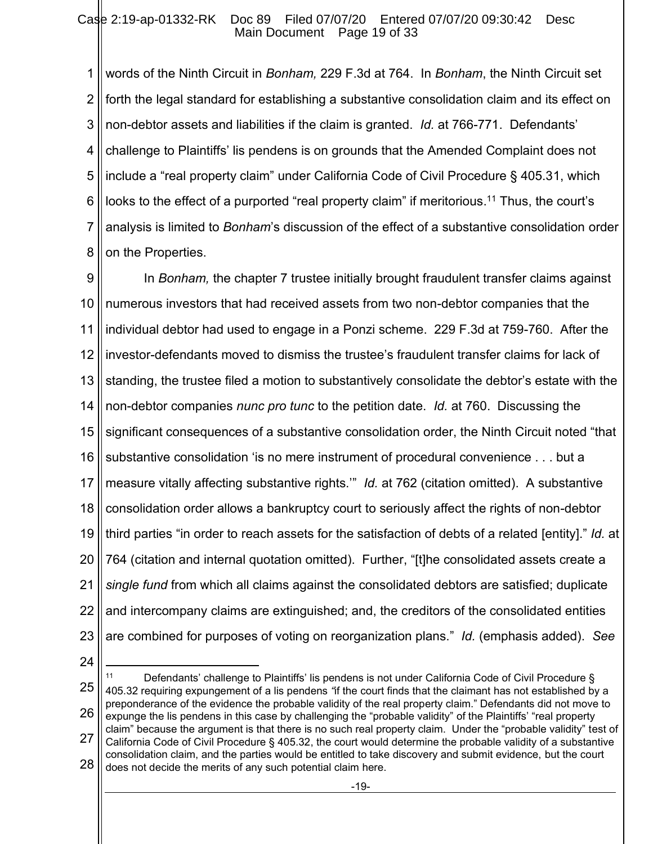1 2 3 4 5 6 7 8 words of the Ninth Circuit in *Bonham,* 229 F.3d at 764. In *Bonham*, the Ninth Circuit set forth the legal standard for establishing a substantive consolidation claim and its effect on non-debtor assets and liabilities if the claim is granted. *Id.* at 766-771. Defendants' challenge to Plaintiffs' lis pendens is on grounds that the Amended Complaint does not include a "real property claim" under California Code of Civil Procedure § 405.31, which looks to the effect of a purported "real property claim" if meritorious.<sup>11</sup> Thus, the court's analysis is limited to *Bonham*'s discussion of the effect of a substantive consolidation order on the Properties.

9 10 11 12 13 14 15 16 17 18 19 20 21 22 23 In *Bonham,* the chapter 7 trustee initially brought fraudulent transfer claims against numerous investors that had received assets from two non-debtor companies that the individual debtor had used to engage in a Ponzi scheme. 229 F.3d at 759-760. After the investor-defendants moved to dismiss the trustee's fraudulent transfer claims for lack of standing, the trustee filed a motion to substantively consolidate the debtor's estate with the non-debtor companies *nunc pro tunc* to the petition date. *Id.* at 760. Discussing the significant consequences of a substantive consolidation order, the Ninth Circuit noted "that substantive consolidation 'is no mere instrument of procedural convenience . . . but a measure vitally affecting substantive rights.'" *Id.* at 762 (citation omitted). A substantive consolidation order allows a bankruptcy court to seriously affect the rights of non-debtor third parties "in order to reach assets for the satisfaction of debts of a related [entity]." *Id.* at 764 (citation and internal quotation omitted). Further, "[t]he consolidated assets create a *single fund* from which all claims against the consolidated debtors are satisfied; duplicate and intercompany claims are extinguished; and, the creditors of the consolidated entities are combined for purposes of voting on reorganization plans." *Id.* (emphasis added). *See* 

24

25 26 27 28 11 Defendants' challenge to Plaintiffs' lis pendens is not under California Code of Civil Procedure  $\S$ 405.32 requiring expungement of a lis pendens *"*if the court finds that the claimant has not established by a preponderance of the evidence the probable validity of the real property claim." Defendants did not move to expunge the lis pendens in this case by challenging the "probable validity" of the Plaintiffs' "real property claim" because the argument is that there is no such real property claim. Under the "probable validity" test of California Code of Civil Procedure § 405.32, the court would determine the probable validity of a substantive consolidation claim, and the parties would be entitled to take discovery and submit evidence, but the court does not decide the merits of any such potential claim here.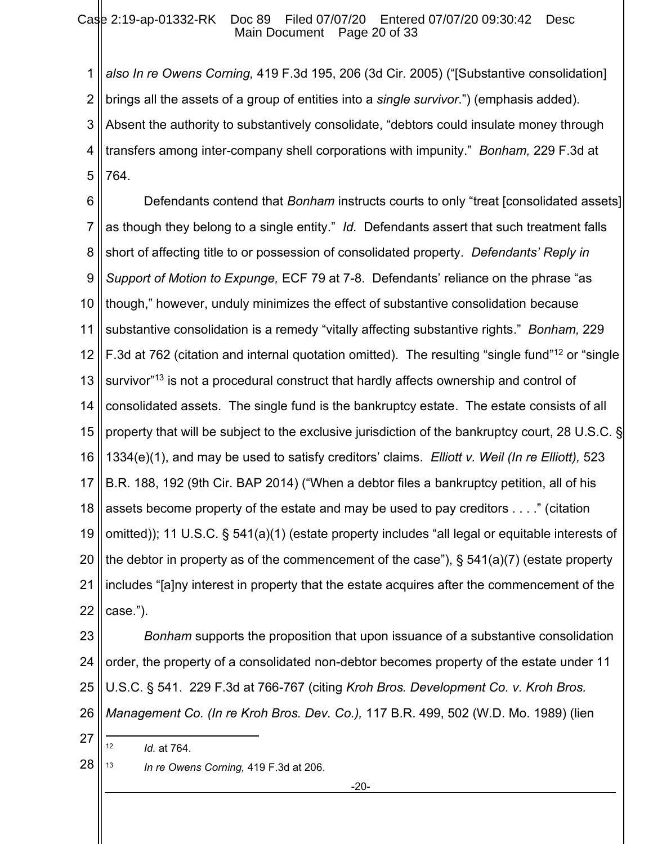1 2 3 4 5 *also In re Owens Corning,* 419 F.3d 195, 206 (3d Cir. 2005) ("[Substantive consolidation] brings all the assets of a group of entities into a *single survivor*.") (emphasis added). Absent the authority to substantively consolidate, "debtors could insulate money through transfers among inter-company shell corporations with impunity." *Bonham,* 229 F.3d at 764.

6 7 8 9 10 11 12 13 14 15 16 17 18 19 20 21 22 Defendants contend that *Bonham* instructs courts to only "treat [consolidated assets] as though they belong to a single entity." *Id.* Defendants assert that such treatment falls short of affecting title to or possession of consolidated property. *Defendants' Reply in Support of Motion to Expunge,* ECF 79 at 7-8. Defendants' reliance on the phrase "as though," however, unduly minimizes the effect of substantive consolidation because substantive consolidation is a remedy "vitally affecting substantive rights." *Bonham,* 229 F.3d at 762 (citation and internal quotation omitted). The resulting "single fund"<sup>12</sup> or "single survivor"<sup>13</sup> is not a procedural construct that hardly affects ownership and control of consolidated assets. The single fund is the bankruptcy estate. The estate consists of all property that will be subject to the exclusive jurisdiction of the bankruptcy court, 28 U.S.C. § 1334(e)(1), and may be used to satisfy creditors' claims. *Elliott v. Weil (In re Elliott),* 523 B.R. 188, 192 (9th Cir. BAP 2014) ("When a debtor files a bankruptcy petition, all of his assets become property of the estate and may be used to pay creditors . . . ." (citation omitted)); 11 U.S.C. § 541(a)(1) (estate property includes "all legal or equitable interests of the debtor in property as of the commencement of the case"),  $\S$  541(a)(7) (estate property includes "[a]ny interest in property that the estate acquires after the commencement of the case.").

23 24 25 26 *Bonham* supports the proposition that upon issuance of a substantive consolidation order, the property of a consolidated non-debtor becomes property of the estate under 11 U.S.C. § 541. 229 F.3d at 766-767 (citing *Kroh Bros. Development Co. v. Kroh Bros. Management Co. (In re Kroh Bros. Dev. Co.),* 117 B.R. 499, 502 (W.D. Mo. 1989) (lien

<sup>12</sup> *Id.* at 764.

27

28 <sup>13</sup> *In re Owens Corning,* 419 F.3d at 206.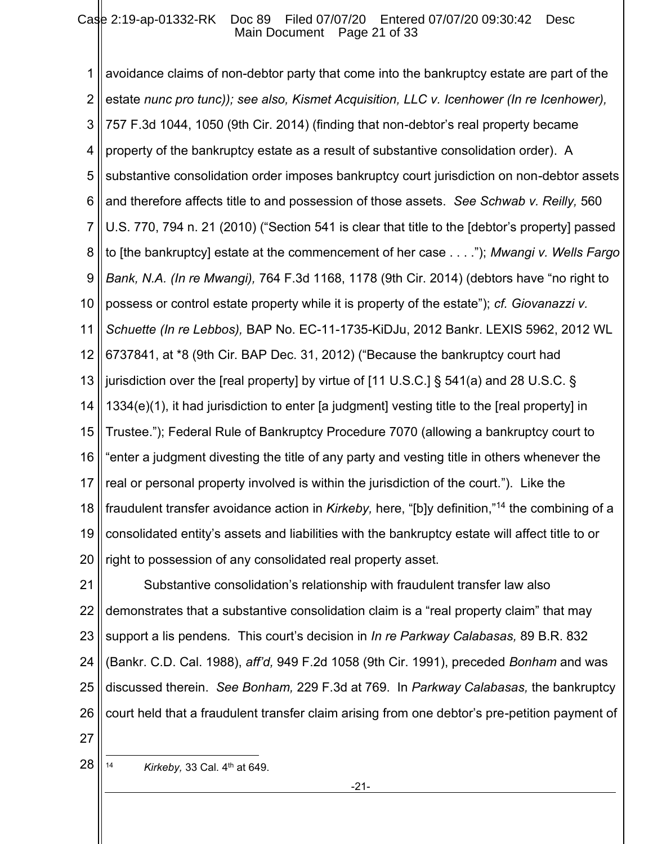1 2 3 4 5 6 7 8 9 10 11 12 13 14 15 16 17 18 19 20 avoidance claims of non-debtor party that come into the bankruptcy estate are part of the estate *nunc pro tunc)); see also, Kismet Acquisition, LLC v. Icenhower (In re Icenhower),*  757 F.3d 1044, 1050 (9th Cir. 2014) (finding that non-debtor's real property became property of the bankruptcy estate as a result of substantive consolidation order). A substantive consolidation order imposes bankruptcy court jurisdiction on non-debtor assets and therefore affects title to and possession of those assets. *See Schwab v. Reilly,* 560 U.S. 770, 794 n. 21 (2010) ("Section 541 is clear that title to the [debtor's property] passed to [the bankruptcy] estate at the commencement of her case . . . ."); *Mwangi v. Wells Fargo Bank, N.A. (In re Mwangi),* 764 F.3d 1168, 1178 (9th Cir. 2014) (debtors have "no right to possess or control estate property while it is property of the estate"); *cf. Giovanazzi v. Schuette (In re Lebbos),* BAP No. EC-11-1735-KiDJu, 2012 Bankr. LEXIS 5962, 2012 WL 6737841, at \*8 (9th Cir. BAP Dec. 31, 2012) ("Because the bankruptcy court had jurisdiction over the [real property] by virtue of [11 U.S.C.] § 541(a) and 28 U.S.C. § 1334(e)(1), it had jurisdiction to enter [a judgment] vesting title to the [real property] in Trustee."); Federal Rule of Bankruptcy Procedure 7070 (allowing a bankruptcy court to "enter a judgment divesting the title of any party and vesting title in others whenever the real or personal property involved is within the jurisdiction of the court."). Like the fraudulent transfer avoidance action in *Kirkeby,* here, "[b]y definition,"<sup>14</sup> the combining of a consolidated entity's assets and liabilities with the bankruptcy estate will affect title to or right to possession of any consolidated real property asset.

21 22 23 24 25 26 Substantive consolidation's relationship with fraudulent transfer law also demonstrates that a substantive consolidation claim is a "real property claim" that may support a lis pendens*.* This court's decision in *In re Parkway Calabasas,* 89 B.R. 832 (Bankr. C.D. Cal. 1988), *aff'd,* 949 F.2d 1058 (9th Cir. 1991), preceded *Bonham* and was discussed therein. *See Bonham,* 229 F.3d at 769. In *Parkway Calabasas,* the bankruptcy court held that a fraudulent transfer claim arising from one debtor's pre-petition payment of

27

28

<sup>14</sup> *Kirkeby,* 33 Cal. 4th at 649.

-21-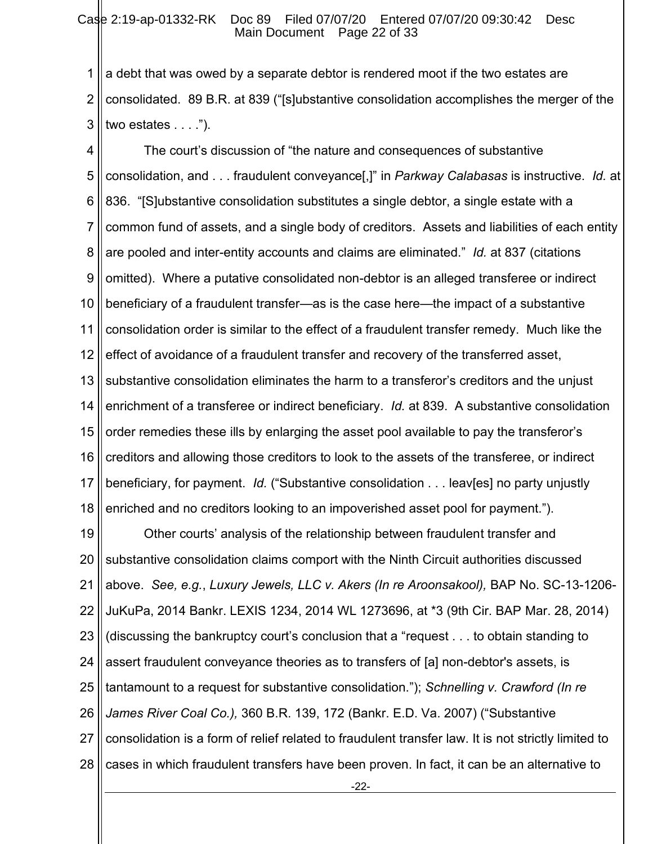#### Case 2:19-ap-01332-RK Doc 89 Filed 07/07/20 Entered 07/07/20 09:30:42 Desc Main Document Page 22 of 33

1 2 3 a debt that was owed by a separate debtor is rendered moot if the two estates are consolidated. 89 B.R. at 839 ("[s]ubstantive consolidation accomplishes the merger of the two estates . . . .").

4 5 6 7 8 9 10 11 12 13 14 15 16 17 18 The court's discussion of "the nature and consequences of substantive consolidation, and . . . fraudulent conveyance[,]" in *Parkway Calabasas* is instructive. *Id.* at 836. "[S]ubstantive consolidation substitutes a single debtor, a single estate with a common fund of assets, and a single body of creditors. Assets and liabilities of each entity are pooled and inter-entity accounts and claims are eliminated." *Id.* at 837 (citations omitted). Where a putative consolidated non-debtor is an alleged transferee or indirect beneficiary of a fraudulent transfer—as is the case here—the impact of a substantive consolidation order is similar to the effect of a fraudulent transfer remedy. Much like the effect of avoidance of a fraudulent transfer and recovery of the transferred asset, substantive consolidation eliminates the harm to a transferor's creditors and the unjust enrichment of a transferee or indirect beneficiary. *Id.* at 839. A substantive consolidation order remedies these ills by enlarging the asset pool available to pay the transferor's creditors and allowing those creditors to look to the assets of the transferee, or indirect beneficiary, for payment. *Id.* ("Substantive consolidation . . . leav[es] no party unjustly enriched and no creditors looking to an impoverished asset pool for payment.").

19 20 21 22 23 24 25 26 27 28 Other courts' analysis of the relationship between fraudulent transfer and substantive consolidation claims comport with the Ninth Circuit authorities discussed above. *See, e.g.*, *Luxury Jewels, LLC v. Akers (In re Aroonsakool),* BAP No. SC-13-1206- JuKuPa, 2014 Bankr. LEXIS 1234, 2014 WL 1273696, at \*3 (9th Cir. BAP Mar. 28, 2014) (discussing the bankruptcy court's conclusion that a "request . . . to obtain standing to assert fraudulent conveyance theories as to transfers of [a] non-debtor's assets, is tantamount to a request for substantive consolidation."); *Schnelling v. Crawford (In re James River Coal Co.),* 360 B.R. 139, 172 (Bankr. E.D. Va. 2007) ("Substantive consolidation is a form of relief related to fraudulent transfer law. It is not strictly limited to cases in which fraudulent transfers have been proven. In fact, it can be an alternative to

-22-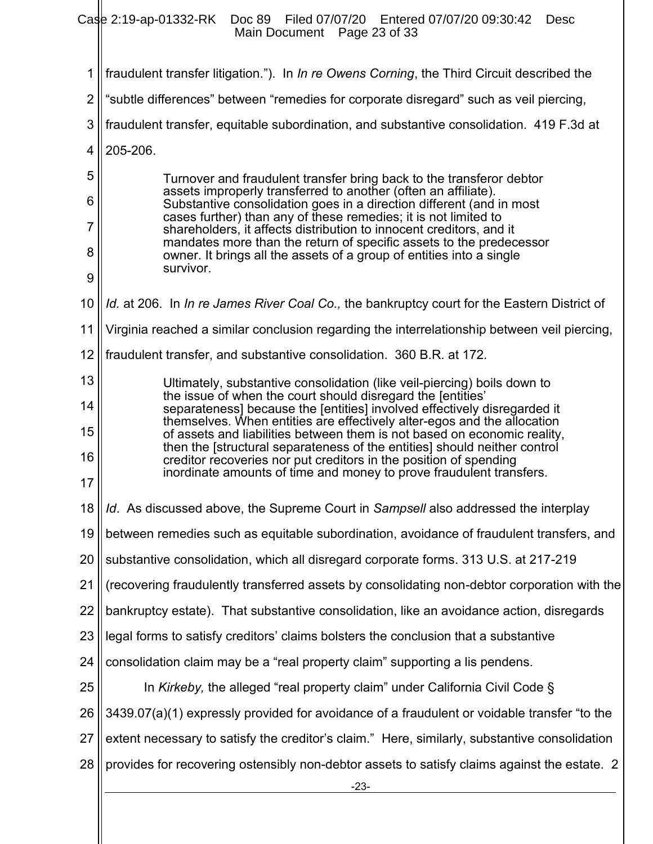Case 2:19-ap-01332-RK Doc 89 Filed 07/07/20 Entered 07/07/20 09:30:42 Desc Main Document Page 23 of 33

| 1              | fraudulent transfer litigation."). In In re Owens Corning, the Third Circuit described the                                                            |  |  |  |
|----------------|-------------------------------------------------------------------------------------------------------------------------------------------------------|--|--|--|
| $\overline{2}$ | "subtle differences" between "remedies for corporate disregard" such as veil piercing,                                                                |  |  |  |
| 3              | fraudulent transfer, equitable subordination, and substantive consolidation. 419 F.3d at                                                              |  |  |  |
| 4              | 205-206.                                                                                                                                              |  |  |  |
| 5              | Turnover and fraudulent transfer bring back to the transferor debtor                                                                                  |  |  |  |
| 6              | assets improperly transferred to another (often an affiliate).<br>Substantive consolidation goes in a direction different (and in most                |  |  |  |
| 7              | cases further) than any of these remedies; it is not limited to<br>shareholders, it affects distribution to innocent creditors, and it                |  |  |  |
| 8              | mandates more than the return of specific assets to the predecessor<br>owner. It brings all the assets of a group of entities into a single           |  |  |  |
| 9              | survivor.                                                                                                                                             |  |  |  |
| 10             | Id. at 206. In In re James River Coal Co., the bankruptcy court for the Eastern District of                                                           |  |  |  |
| 11             | Virginia reached a similar conclusion regarding the interrelationship between veil piercing,                                                          |  |  |  |
| 12             | fraudulent transfer, and substantive consolidation. 360 B.R. at 172.                                                                                  |  |  |  |
| 13             | Ultimately, substantive consolidation (like veil-piercing) boils down to<br>the issue of when the court should disregard the [entities'               |  |  |  |
| 14             | separateness] because the [entities] involved effectively disregarded it<br>themselves. When entities are effectively alter-egos and the allocation   |  |  |  |
| 15             | of assets and liabilities between them is not based on economic reality,<br>then the [structural separateness of the entities] should neither control |  |  |  |
| 16             | creditor recoveries nor put creditors in the position of spending<br>inordinate amounts of time and money to prove fraudulent transfers.              |  |  |  |
| 17             |                                                                                                                                                       |  |  |  |
| 18             | Id. As discussed above, the Supreme Court in Sampsell also addressed the interplay                                                                    |  |  |  |
| 19             | between remedies such as equitable subordination, avoidance of fraudulent transfers, and                                                              |  |  |  |
| 20             | substantive consolidation, which all disregard corporate forms. 313 U.S. at 217-219                                                                   |  |  |  |
| 21             | (recovering fraudulently transferred assets by consolidating non-debtor corporation with the                                                          |  |  |  |
| 22             | bankruptcy estate). That substantive consolidation, like an avoidance action, disregards                                                              |  |  |  |
| 23             | legal forms to satisfy creditors' claims bolsters the conclusion that a substantive                                                                   |  |  |  |
| 24             | consolidation claim may be a "real property claim" supporting a lis pendens.                                                                          |  |  |  |
| 25             | In Kirkeby, the alleged "real property claim" under California Civil Code §                                                                           |  |  |  |
| 26             | 3439.07(a)(1) expressly provided for avoidance of a fraudulent or voidable transfer "to the                                                           |  |  |  |
| 27             | extent necessary to satisfy the creditor's claim." Here, similarly, substantive consolidation                                                         |  |  |  |
| 28             | provides for recovering ostensibly non-debtor assets to satisfy claims against the estate. 2                                                          |  |  |  |
|                | $-23-$                                                                                                                                                |  |  |  |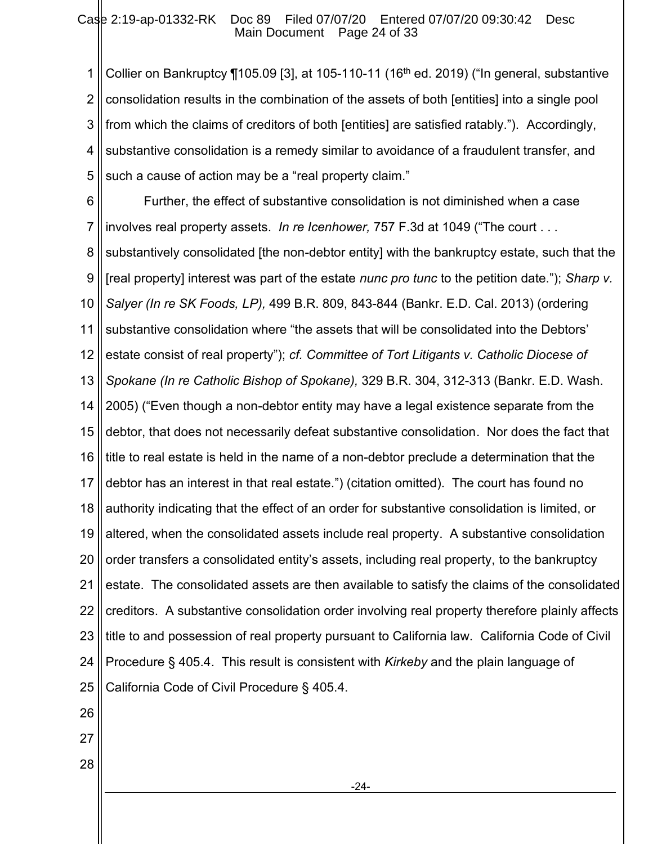1 2 3 4 5 Collier on Bankruptcy ¶105.09 [3], at 105-110-11 (16<sup>th</sup> ed. 2019) ("In general, substantive consolidation results in the combination of the assets of both [entities] into a single pool from which the claims of creditors of both [entities] are satisfied ratably."). Accordingly, substantive consolidation is a remedy similar to avoidance of a fraudulent transfer, and such a cause of action may be a "real property claim."

6 7 Further, the effect of substantive consolidation is not diminished when a case involves real property assets. *In re Icenhower,* 757 F.3d at 1049 ("The court . . .

8 9 10 11 12 13 14 15 16 17 18 19 20 21 22 23 24 25 substantively consolidated [the non-debtor entity] with the bankruptcy estate, such that the [real property] interest was part of the estate *nunc pro tunc* to the petition date."); *Sharp v. Salyer (In re SK Foods, LP),* 499 B.R. 809, 843-844 (Bankr. E.D. Cal. 2013) (ordering substantive consolidation where "the assets that will be consolidated into the Debtors' estate consist of real property"); *cf. Committee of Tort Litigants v. Catholic Diocese of Spokane (In re Catholic Bishop of Spokane),* 329 B.R. 304, 312-313 (Bankr. E.D. Wash. 2005) ("Even though a non-debtor entity may have a legal existence separate from the debtor, that does not necessarily defeat substantive consolidation. Nor does the fact that title to real estate is held in the name of a non-debtor preclude a determination that the debtor has an interest in that real estate.") (citation omitted). The court has found no authority indicating that the effect of an order for substantive consolidation is limited, or altered, when the consolidated assets include real property. A substantive consolidation order transfers a consolidated entity's assets, including real property, to the bankruptcy estate. The consolidated assets are then available to satisfy the claims of the consolidated creditors. A substantive consolidation order involving real property therefore plainly affects title to and possession of real property pursuant to California law. California Code of Civil Procedure § 405.4. This result is consistent with *Kirkeby* and the plain language of California Code of Civil Procedure § 405.4.

- 26
- 27
- 28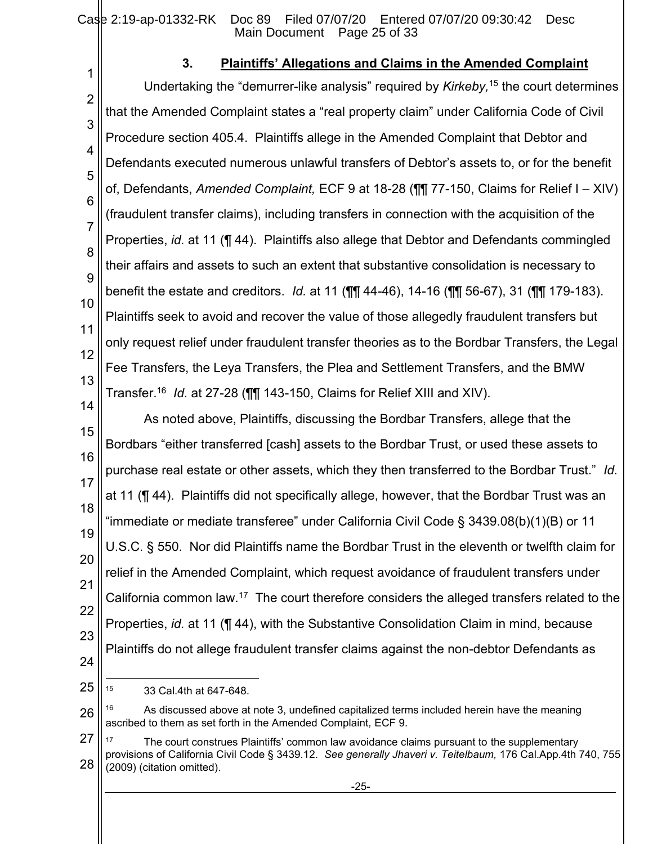Case 2:19-ap-01332-RK Doc 89 Filed 07/07/20 Entered 07/07/20 09:30:42 Desc Main Document Page 25 of 33

## **3. Plaintiffs' Allegations and Claims in the Amended Complaint**

1 2 3 4 5 6 7 8 9 10 11 12 13 14 Undertaking the "demurrer-like analysis" required by *Kirkeby,*<sup>15</sup> the court determines that the Amended Complaint states a "real property claim" under California Code of Civil Procedure section 405.4. Plaintiffs allege in the Amended Complaint that Debtor and Defendants executed numerous unlawful transfers of Debtor's assets to, or for the benefit of, Defendants, *Amended Complaint,* ECF 9 at 18-28 (¶¶ 77-150, Claims for Relief I – XIV) (fraudulent transfer claims), including transfers in connection with the acquisition of the Properties, *id.* at 11 (¶ 44). Plaintiffs also allege that Debtor and Defendants commingled their affairs and assets to such an extent that substantive consolidation is necessary to benefit the estate and creditors. *Id.* at 11 (¶¶ 44-46), 14-16 (¶¶ 56-67), 31 (¶¶ 179-183). Plaintiffs seek to avoid and recover the value of those allegedly fraudulent transfers but only request relief under fraudulent transfer theories as to the Bordbar Transfers, the Legal Fee Transfers, the Leya Transfers, the Plea and Settlement Transfers, and the BMW Transfer.<sup>16</sup> *Id.* at 27-28 (¶¶ 143-150, Claims for Relief XIII and XIV).

15 16 17 18 19 20 21 22 23 24 As noted above, Plaintiffs, discussing the Bordbar Transfers, allege that the Bordbars "either transferred [cash] assets to the Bordbar Trust, or used these assets to purchase real estate or other assets, which they then transferred to the Bordbar Trust." *Id.* at 11 (¶ 44). Plaintiffs did not specifically allege, however, that the Bordbar Trust was an "immediate or mediate transferee" under California Civil Code § 3439.08(b)(1)(B) or 11 U.S.C. § 550. Nor did Plaintiffs name the Bordbar Trust in the eleventh or twelfth claim for relief in the Amended Complaint, which request avoidance of fraudulent transfers under California common law.<sup>17</sup> The court therefore considers the alleged transfers related to the Properties, *id.* at 11 (¶ 44), with the Substantive Consolidation Claim in mind, because Plaintiffs do not allege fraudulent transfer claims against the non-debtor Defendants as

25

26 As discussed above at note 3, undefined capitalized terms included herein have the meaning ascribed to them as set forth in the Amended Complaint*,* ECF 9.

27 28 <sup>17</sup> The court construes Plaintiffs' common law avoidance claims pursuant to the supplementary provisions of California Civil Code § 3439.12. *See generally Jhaveri v. Teitelbaum,* 176 Cal.App.4th 740, 755 (2009) (citation omitted).

<sup>15</sup> 33 Cal.4th at 647-648.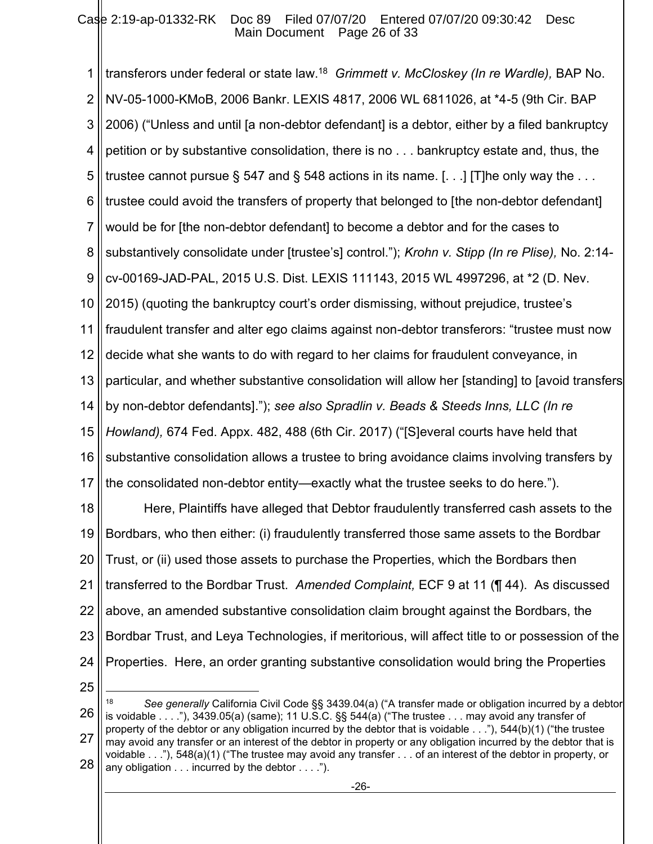1 2 3 4 5 6 7 8 9 10 11 12 13 14 15 16 17 18 19 20 21 22 23 transferors under federal or state law.<sup>18</sup> *Grimmett v. McCloskey (In re Wardle),* BAP No. NV-05-1000-KMoB, 2006 Bankr. LEXIS 4817, 2006 WL 6811026, at \*4-5 (9th Cir. BAP 2006) ("Unless and until [a non-debtor defendant] is a debtor, either by a filed bankruptcy petition or by substantive consolidation, there is no . . . bankruptcy estate and, thus, the trustee cannot pursue  $\S$  547 and  $\S$  548 actions in its name. [...] [T]he only way the ... trustee could avoid the transfers of property that belonged to [the non-debtor defendant] would be for [the non-debtor defendant] to become a debtor and for the cases to substantively consolidate under [trustee's] control."); *Krohn v. Stipp (In re Plise),* No. 2:14 cv-00169-JAD-PAL, 2015 U.S. Dist. LEXIS 111143, 2015 WL 4997296, at \*2 (D. Nev. 2015) (quoting the bankruptcy court's order dismissing, without prejudice, trustee's fraudulent transfer and alter ego claims against non-debtor transferors: "trustee must now decide what she wants to do with regard to her claims for fraudulent conveyance, in particular, and whether substantive consolidation will allow her [standing] to [avoid transfers by non-debtor defendants]."); *see also Spradlin v. Beads & Steeds Inns, LLC (In re Howland),* 674 Fed. Appx. 482, 488 (6th Cir. 2017) ("[S]everal courts have held that substantive consolidation allows a trustee to bring avoidance claims involving transfers by the consolidated non-debtor entity—exactly what the trustee seeks to do here."). Here, Plaintiffs have alleged that Debtor fraudulently transferred cash assets to the Bordbars, who then either: (i) fraudulently transferred those same assets to the Bordbar Trust, or (ii) used those assets to purchase the Properties, which the Bordbars then transferred to the Bordbar Trust. *Amended Complaint,* ECF 9 at 11 (¶ 44). As discussed above, an amended substantive consolidation claim brought against the Bordbars, the Bordbar Trust, and Leya Technologies, if meritorious, will affect title to or possession of the

24 25 Properties. Here, an order granting substantive consolidation would bring the Properties

<sup>26</sup> 27 28 <sup>18</sup> *See generally* California Civil Code §§ 3439.04(a) ("A transfer made or obligation incurred by a debtor is voidable . . . ."), 3439.05(a) (same); 11 U.S.C. §§ 544(a) ("The trustee . . . may avoid any transfer of property of the debtor or any obligation incurred by the debtor that is voidable . . ."), 544(b)(1) ("the trustee may avoid any transfer or an interest of the debtor in property or any obligation incurred by the debtor that is voidable . . ."), 548(a)(1) ("The trustee may avoid any transfer . . . of an interest of the debtor in property, or any obligation . . . incurred by the debtor . . . .").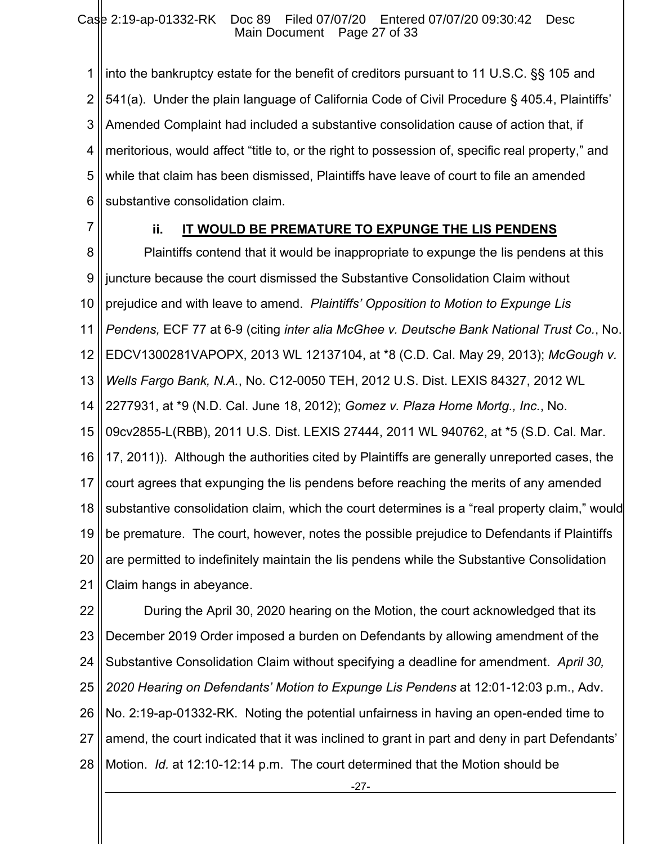1 2 3 4 5 6 into the bankruptcy estate for the benefit of creditors pursuant to 11 U.S.C. §§ 105 and 541(a). Under the plain language of California Code of Civil Procedure § 405.4, Plaintiffs' Amended Complaint had included a substantive consolidation cause of action that, if meritorious, would affect "title to, or the right to possession of, specific real property," and while that claim has been dismissed, Plaintiffs have leave of court to file an amended substantive consolidation claim.

7

# **ii. IT WOULD BE PREMATURE TO EXPUNGE THE LIS PENDENS**

8 9 10 11 12 13 14 15 16 17 18 19 20 21 Plaintiffs contend that it would be inappropriate to expunge the lis pendens at this juncture because the court dismissed the Substantive Consolidation Claim without prejudice and with leave to amend. *Plaintiffs' Opposition to Motion to Expunge Lis Pendens,* ECF 77 at 6-9 (citing *inter alia McGhee v. Deutsche Bank National Trust Co.*, No. EDCV1300281VAPOPX, 2013 WL 12137104, at \*8 (C.D. Cal. May 29, 2013); *McGough v. Wells Fargo Bank, N.A.*, No. C12-0050 TEH, 2012 U.S. Dist. LEXIS 84327, 2012 WL 2277931, at \*9 (N.D. Cal. June 18, 2012); *Gomez v. Plaza Home Mortg., Inc.*, No. 09cv2855-L(RBB), 2011 U.S. Dist. LEXIS 27444, 2011 WL 940762, at \*5 (S.D. Cal. Mar. 17, 2011)). Although the authorities cited by Plaintiffs are generally unreported cases, the court agrees that expunging the lis pendens before reaching the merits of any amended substantive consolidation claim, which the court determines is a "real property claim," would be premature. The court, however, notes the possible prejudice to Defendants if Plaintiffs are permitted to indefinitely maintain the lis pendens while the Substantive Consolidation Claim hangs in abeyance.

22 23 24 25 26 27 28 During the April 30, 2020 hearing on the Motion, the court acknowledged that its December 2019 Order imposed a burden on Defendants by allowing amendment of the Substantive Consolidation Claim without specifying a deadline for amendment. *April 30, 2020 Hearing on Defendants' Motion to Expunge Lis Pendens* at 12:01-12:03 p.m., Adv. No. 2:19-ap-01332-RK. Noting the potential unfairness in having an open-ended time to amend, the court indicated that it was inclined to grant in part and deny in part Defendants' Motion. *Id.* at 12:10-12:14 p.m. The court determined that the Motion should be

-27-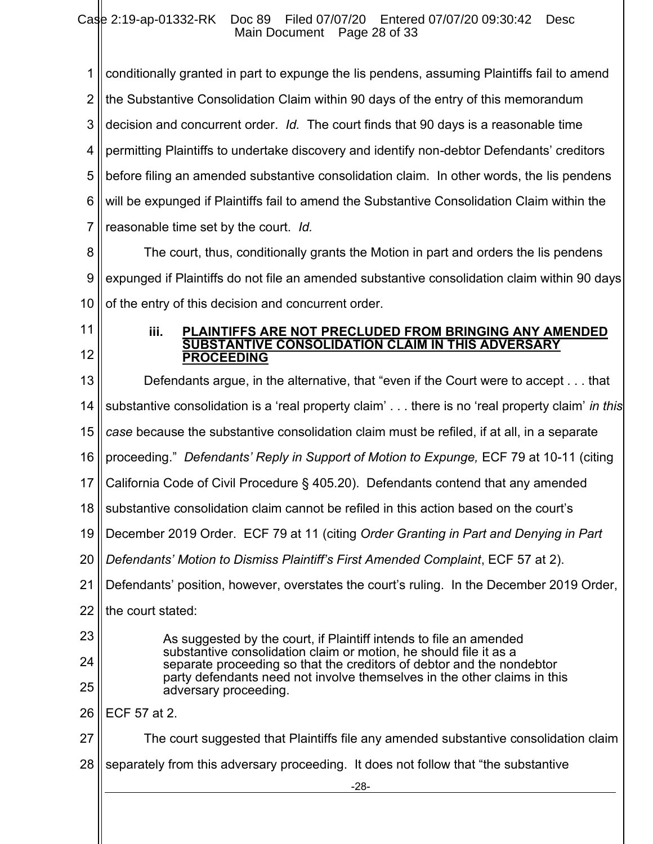-28- 1 2 3 4 5 6 7 8 9 10 11 12 13 14 15 16 17 18 19 20 21 22 23 24 25 26 27 28 conditionally granted in part to expunge the lis pendens, assuming Plaintiffs fail to amend the Substantive Consolidation Claim within 90 days of the entry of this memorandum decision and concurrent order. *Id.* The court finds that 90 days is a reasonable time permitting Plaintiffs to undertake discovery and identify non-debtor Defendants' creditors before filing an amended substantive consolidation claim. In other words, the lis pendens will be expunged if Plaintiffs fail to amend the Substantive Consolidation Claim within the reasonable time set by the court. *Id.* The court, thus, conditionally grants the Motion in part and orders the lis pendens expunged if Plaintiffs do not file an amended substantive consolidation claim within 90 days of the entry of this decision and concurrent order. **iii. PLAINTIFFS ARE NOT PRECLUDED FROM BRINGING ANY AMENDED SUBSTANTIVE CONSOLIDATION CLAIM IN THIS ADVERSARY PROCEEDING**  Defendants argue, in the alternative, that "even if the Court were to accept . . . that substantive consolidation is a 'real property claim' . . . there is no 'real property claim' *in this case* because the substantive consolidation claim must be refiled, if at all, in a separate proceeding." *Defendants' Reply in Support of Motion to Expunge,* ECF 79 at 10-11 (citing California Code of Civil Procedure § 405.20). Defendants contend that any amended substantive consolidation claim cannot be refiled in this action based on the court's December 2019 Order. ECF 79 at 11 (citing *Order Granting in Part and Denying in Part Defendants' Motion to Dismiss Plaintiff's First Amended Complaint*, ECF 57 at 2). Defendants' position, however, overstates the court's ruling. In the December 2019 Order, the court stated: As suggested by the court, if Plaintiff intends to file an amended substantive consolidation claim or motion, he should file it as a separate proceeding so that the creditors of debtor and the nondebtor party defendants need not involve themselves in the other claims in this adversary proceeding. ECF 57 at 2. The court suggested that Plaintiffs file any amended substantive consolidation claim separately from this adversary proceeding. It does not follow that "the substantive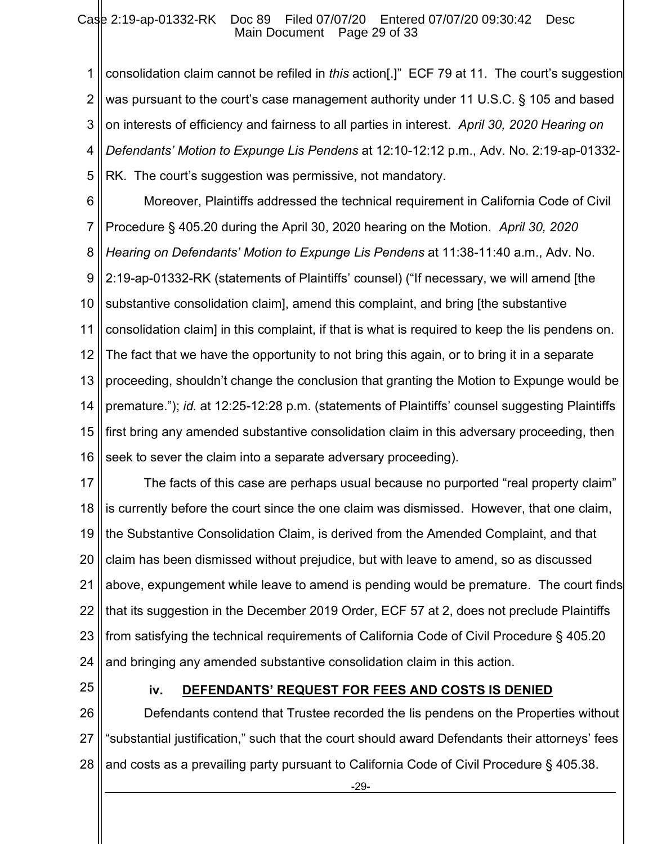1 2 3 4 5 consolidation claim cannot be refiled in *this* action[.]" ECF 79 at 11. The court's suggestion was pursuant to the court's case management authority under 11 U.S.C. § 105 and based on interests of efficiency and fairness to all parties in interest. *April 30, 2020 Hearing on Defendants' Motion to Expunge Lis Pendens* at 12:10-12:12 p.m., Adv. No. 2:19-ap-01332- RK. The court's suggestion was permissive, not mandatory.

6 7 8 9 10 11 12 13 14 15 16 Moreover, Plaintiffs addressed the technical requirement in California Code of Civil Procedure § 405.20 during the April 30, 2020 hearing on the Motion. *April 30, 2020 Hearing on Defendants' Motion to Expunge Lis Pendens* at 11:38-11:40 a.m., Adv. No. 2:19-ap-01332-RK (statements of Plaintiffs' counsel) ("If necessary, we will amend [the substantive consolidation claim], amend this complaint, and bring [the substantive consolidation claim] in this complaint, if that is what is required to keep the lis pendens on. The fact that we have the opportunity to not bring this again, or to bring it in a separate proceeding, shouldn't change the conclusion that granting the Motion to Expunge would be premature."); *id.* at 12:25-12:28 p.m. (statements of Plaintiffs' counsel suggesting Plaintiffs first bring any amended substantive consolidation claim in this adversary proceeding, then seek to sever the claim into a separate adversary proceeding).

17 18 19 20 21 22 23 24 The facts of this case are perhaps usual because no purported "real property claim" is currently before the court since the one claim was dismissed. However, that one claim, the Substantive Consolidation Claim, is derived from the Amended Complaint, and that claim has been dismissed without prejudice, but with leave to amend, so as discussed above, expungement while leave to amend is pending would be premature. The court finds that its suggestion in the December 2019 Order, ECF 57 at 2, does not preclude Plaintiffs from satisfying the technical requirements of California Code of Civil Procedure § 405.20 and bringing any amended substantive consolidation claim in this action.

25

# **iv. DEFENDANTS' REQUEST FOR FEES AND COSTS IS DENIED**

26 27 28 Defendants contend that Trustee recorded the lis pendens on the Properties without "substantial justification," such that the court should award Defendants their attorneys' fees and costs as a prevailing party pursuant to California Code of Civil Procedure § 405.38.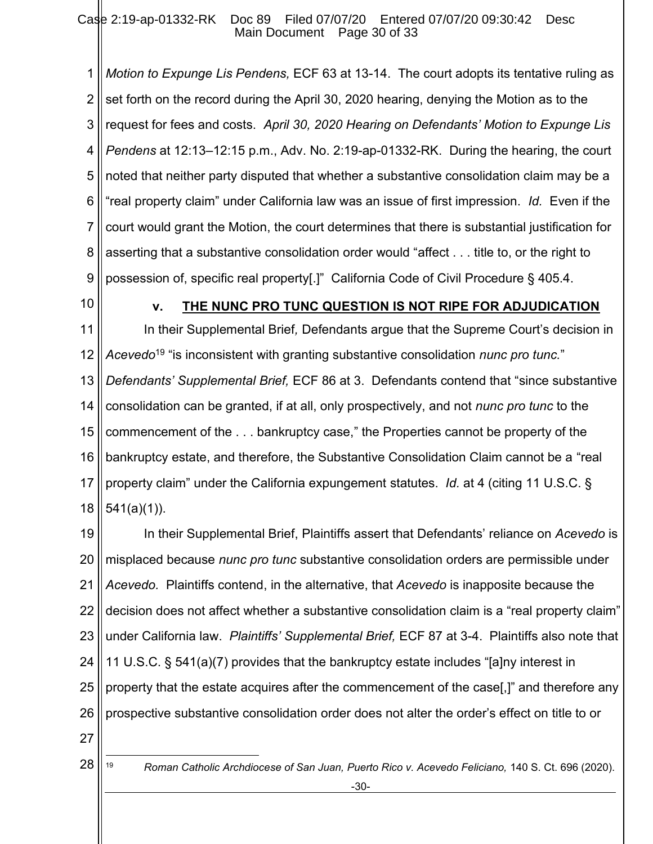1 2 3 4 5 6 7 8 9 *Motion to Expunge Lis Pendens,* ECF 63 at 13-14. The court adopts its tentative ruling as set forth on the record during the April 30, 2020 hearing, denying the Motion as to the request for fees and costs. *April 30, 2020 Hearing on Defendants' Motion to Expunge Lis Pendens* at 12:13–12:15 p.m., Adv. No. 2:19-ap-01332-RK. During the hearing, the court noted that neither party disputed that whether a substantive consolidation claim may be a "real property claim" under California law was an issue of first impression. *Id.* Even if the court would grant the Motion, the court determines that there is substantial justification for asserting that a substantive consolidation order would "affect . . . title to, or the right to possession of, specific real property[.]" California Code of Civil Procedure § 405.4.

10

### **v. THE NUNC PRO TUNC QUESTION IS NOT RIPE FOR ADJUDICATION**

11 12 13 14 15 16 17 18 In their Supplemental Brief*,* Defendants argue that the Supreme Court's decision in *Acevedo*<sup>19</sup> "is inconsistent with granting substantive consolidation *nunc pro tunc.*" *Defendants' Supplemental Brief,* ECF 86 at 3. Defendants contend that "since substantive consolidation can be granted, if at all, only prospectively, and not *nunc pro tunc* to the commencement of the . . . bankruptcy case," the Properties cannot be property of the bankruptcy estate, and therefore, the Substantive Consolidation Claim cannot be a "real property claim" under the California expungement statutes. *Id.* at 4 (citing 11 U.S.C. § 541(a)(1)).

19 20 21 22 23 24 25 26 In their Supplemental Brief, Plaintiffs assert that Defendants' reliance on *Acevedo* is misplaced because *nunc pro tunc* substantive consolidation orders are permissible under *Acevedo.* Plaintiffs contend, in the alternative, that *Acevedo* is inapposite because the decision does not affect whether a substantive consolidation claim is a "real property claim" under California law. *Plaintiffs' Supplemental Brief,* ECF 87 at 3-4. Plaintiffs also note that 11 U.S.C. § 541(a)(7) provides that the bankruptcy estate includes "[a]ny interest in property that the estate acquires after the commencement of the case[,]" and therefore any prospective substantive consolidation order does not alter the order's effect on title to or

27

28

19 **Roman Catholic Archdiocese of San Juan, Puerto Rico v. Acevedo Feliciano, 140 S. Ct. 696 (2020).**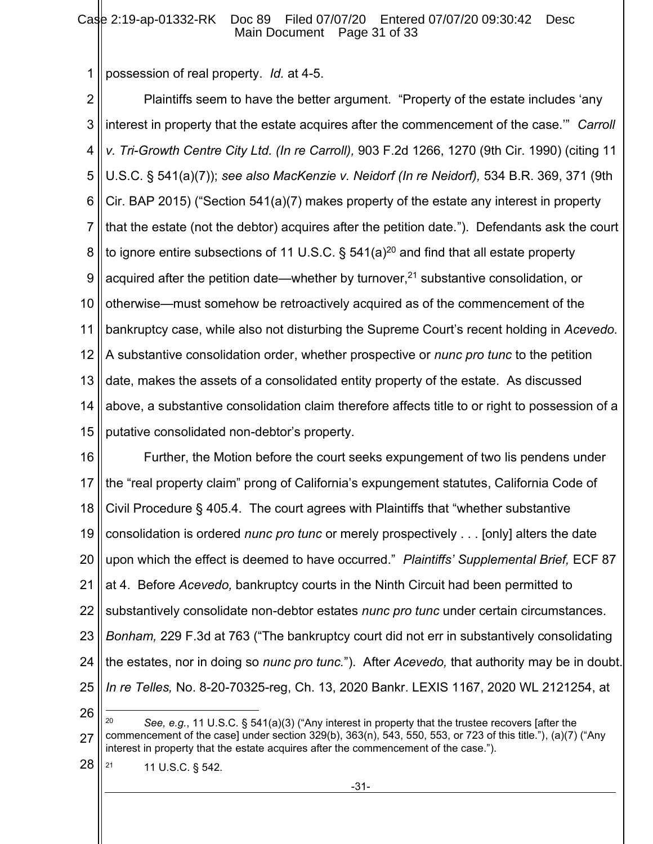1 possession of real property. *Id.* at 4-5.

2 3 4 5 6 7 8 9 10 11 12 13 14 15 Plaintiffs seem to have the better argument. "Property of the estate includes 'any interest in property that the estate acquires after the commencement of the case.'" *Carroll v. Tri-Growth Centre City Ltd. (In re Carroll),* 903 F.2d 1266, 1270 (9th Cir. 1990) (citing 11 U.S.C. § 541(a)(7)); *see also MacKenzie v. Neidorf (In re Neidorf),* 534 B.R. 369, 371 (9th Cir. BAP 2015) ("Section 541(a)(7) makes property of the estate any interest in property that the estate (not the debtor) acquires after the petition date."). Defendants ask the court to ignore entire subsections of 11 U.S.C.  $\S$  541(a)<sup>20</sup> and find that all estate property acquired after the petition date—whether by turnover, $21$  substantive consolidation, or otherwise—must somehow be retroactively acquired as of the commencement of the bankruptcy case, while also not disturbing the Supreme Court's recent holding in *Acevedo.* A substantive consolidation order, whether prospective or *nunc pro tunc* to the petition date, makes the assets of a consolidated entity property of the estate. As discussed above, a substantive consolidation claim therefore affects title to or right to possession of a putative consolidated non-debtor's property.

16 17 18 19 20 21 22 23 24 25 Further, the Motion before the court seeks expungement of two lis pendens under the "real property claim" prong of California's expungement statutes, California Code of Civil Procedure § 405.4. The court agrees with Plaintiffs that "whether substantive consolidation is ordered *nunc pro tunc* or merely prospectively . . . [only] alters the date upon which the effect is deemed to have occurred." *Plaintiffs' Supplemental Brief,* ECF 87 at 4. Before *Acevedo,* bankruptcy courts in the Ninth Circuit had been permitted to substantively consolidate non-debtor estates *nunc pro tunc* under certain circumstances. *Bonham,* 229 F.3d at 763 ("The bankruptcy court did not err in substantively consolidating the estates, nor in doing so *nunc pro tunc.*"). After *Acevedo,* that authority may be in doubt. *In re Telles,* No. 8-20-70325-reg, Ch. 13, 2020 Bankr. LEXIS 1167, 2020 WL 2121254, at

<sup>26</sup>

<sup>27</sup> <sup>20</sup> *See, e.g.*, 11 U.S.C. § 541(a)(3) ("Any interest in property that the trustee recovers [after the commencement of the case] under section 329(b), 363(n), 543, 550, 553, or 723 of this title."), (a)(7) ("Any interest in property that the estate acquires after the commencement of the case.").

<sup>28</sup> <sup>21</sup> 11 U.S.C. § 542.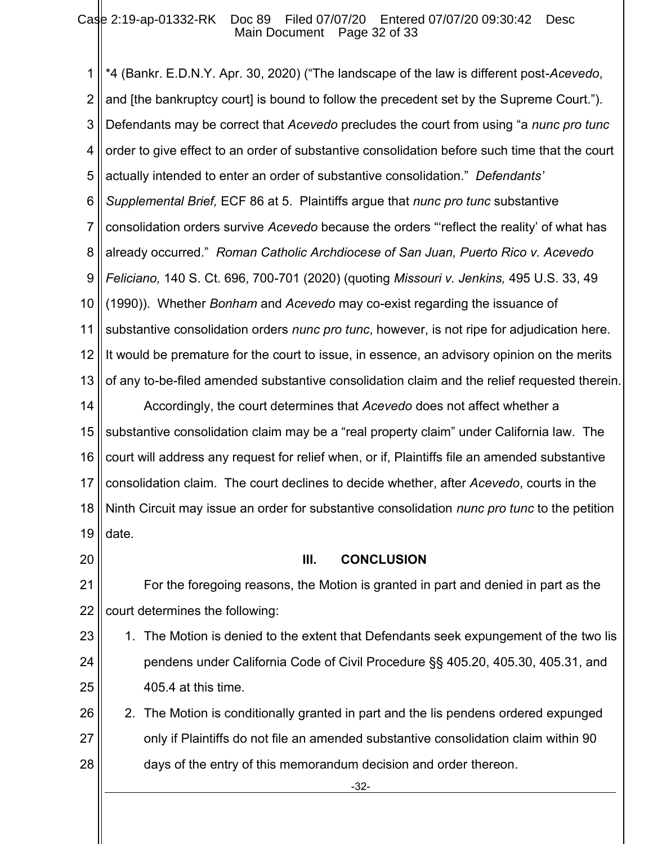1 2 3 4 5 6 7 8 9 10 11 12 13 14 15 16 17 18 19 \*4 (Bankr. E.D.N.Y. Apr. 30, 2020) ("The landscape of the law is different post-*Acevedo*, and [the bankruptcy court] is bound to follow the precedent set by the Supreme Court."). Defendants may be correct that *Acevedo* precludes the court from using "a *nunc pro tunc*  order to give effect to an order of substantive consolidation before such time that the court actually intended to enter an order of substantive consolidation." *Defendants' Supplemental Brief,* ECF 86 at 5. Plaintiffs argue that *nunc pro tunc* substantive consolidation orders survive *Acevedo* because the orders "'reflect the reality' of what has already occurred." *Roman Catholic Archdiocese of San Juan, Puerto Rico v. Acevedo Feliciano,* 140 S. Ct. 696, 700-701 (2020) (quoting *Missouri v. Jenkins,* 495 U.S. 33, 49 (1990)). Whether *Bonham* and *Acevedo* may co-exist regarding the issuance of substantive consolidation orders *nunc pro tunc*, however, is not ripe for adjudication here. It would be premature for the court to issue, in essence, an advisory opinion on the merits of any to-be-filed amended substantive consolidation claim and the relief requested therein. Accordingly, the court determines that *Acevedo* does not affect whether a substantive consolidation claim may be a "real property claim" under California law. The court will address any request for relief when, or if, Plaintiffs file an amended substantive consolidation claim. The court declines to decide whether, after *Acevedo*, courts in the Ninth Circuit may issue an order for substantive consolidation *nunc pro tunc* to the petition date.

20

### **III. CONCLUSION**

21 22 For the foregoing reasons, the Motion is granted in part and denied in part as the court determines the following:

23 24 25 1. The Motion is denied to the extent that Defendants seek expungement of the two lis pendens under California Code of Civil Procedure §§ 405.20, 405.30, 405.31, and 405.4 at this time.

26 27 28 2. The Motion is conditionally granted in part and the lis pendens ordered expunged only if Plaintiffs do not file an amended substantive consolidation claim within 90 days of the entry of this memorandum decision and order thereon.